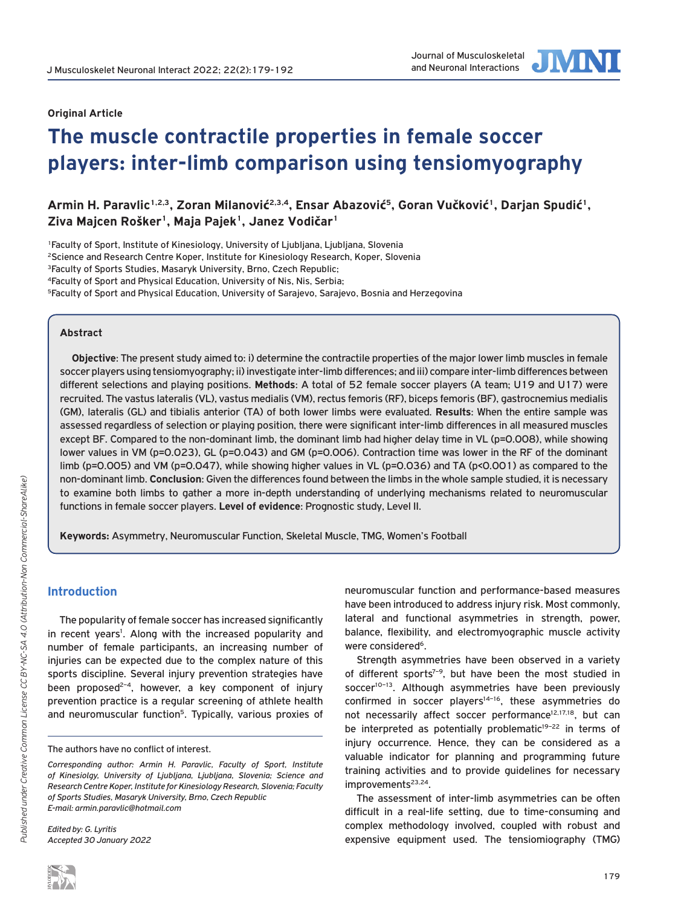

## **Original Article**

# **The muscle contractile properties in female soccer players: inter-limb comparison using tensiomyography**

**Armin H. Paravlic1,2,3, Zoran Milanović2,3,4, Ensar Abazović5, Goran Vučković1, Darjan Spudić1, Ziva Majcen Rošker1, Maja Pajek1, Janez Vodičar1**

1Faculty of Sport, Institute of Kinesiology, University of Ljubljana, Ljubljana, Slovenia 2Science and Research Centre Koper, Institute for Kinesiology Research, Koper, Slovenia <sup>3</sup>Faculty of Sports Studies, Masaryk University, Brno, Czech Republic; 4Faculty of Sport and Physical Education, University of Nis, Nis, Serbia; <sup>5</sup>Faculty of Sport and Physical Education, University of Sarajevo, Sarajevo, Bosnia and Herzegovina

### **Abstract**

**Objective**: The present study aimed to: i) determine the contractile properties of the major lower limb muscles in female soccer players using tensiomyography; ii) investigate inter-limb differences; and iii) compare inter-limb differences between different selections and playing positions. **Methods**: A total of 52 female soccer players (A team; U19 and U17) were recruited. The vastus lateralis (VL), vastus medialis (VM), rectus femoris (RF), biceps femoris (BF), gastrocnemius medialis (GM), lateralis (GL) and tibialis anterior (TA) of both lower limbs were evaluated. **Results**: When the entire sample was assessed regardless of selection or playing position, there were significant inter-limb differences in all measured muscles except BF. Compared to the non-dominant limb, the dominant limb had higher delay time in VL (p=0.008), while showing lower values in VM (p=0.023), GL (p=0.043) and GM (p=0.006). Contraction time was lower in the RF of the dominant limb (p=0.005) and VM (p=0.047), while showing higher values in VL (p=0.036) and TA (p<0.001) as compared to the non-dominant limb. **Conclusion**: Given the differences found between the limbs in the whole sample studied, it is necessary to examine both limbs to gather a more in-depth understanding of underlying mechanisms related to neuromuscular functions in female soccer players. **Level of evidence**: Prognostic study, Level II.

**Keywords:** Asymmetry, Neuromuscular Function, Skeletal Muscle, TMG, Women's Football

## **Introduction**

The popularity of female soccer has increased significantly in recent years<sup>1</sup>. Along with the increased popularity and number of female participants, an increasing number of injuries can be expected due to the complex nature of this sports discipline. Several injury prevention strategies have been proposed<sup>2-4</sup>, however, a key component of injury prevention practice is a regular screening of athlete health and neuromuscular function<sup>5</sup>. Typically, various proxies of

*Edited by: G. Lyritis Accepted 30 January 2022* neuromuscular function and performance-based measures have been introduced to address injury risk. Most commonly, lateral and functional asymmetries in strength, power, balance, flexibility, and electromyographic muscle activity were considered<sup>6</sup>.

Strength asymmetries have been observed in a variety of different sports<sup> $7-9$ </sup>, but have been the most studied in soccer<sup>10–13</sup>. Although asymmetries have been previously confirmed in soccer players $14-16$ , these asymmetries do not necessarily affect soccer performance<sup>12,17,18</sup>, but can be interpreted as potentially problematic $19-22$  in terms of injury occurrence. Hence, they can be considered as a valuable indicator for planning and programming future training activities and to provide guidelines for necessary improvements<sup>23,24</sup>.

The assessment of inter-limb asymmetries can be often difficult in a real-life setting, due to time-consuming and complex methodology involved, coupled with robust and expensive equipment used. The tensiomiography (TMG)

The authors have no conflict of interest.

*Corresponding author: Armin H. Paravlic, Faculty of Sport, Institute of Kinesiolgy, University of Ljubljana, Ljubljana, Slovenia; Science and Research Centre Koper, Institute for Kinesiology Research, Slovenia; Faculty of Sports Studies, Masaryk University, Brno, Czech Republic E-mail: armin.paravlic@hotmail.com*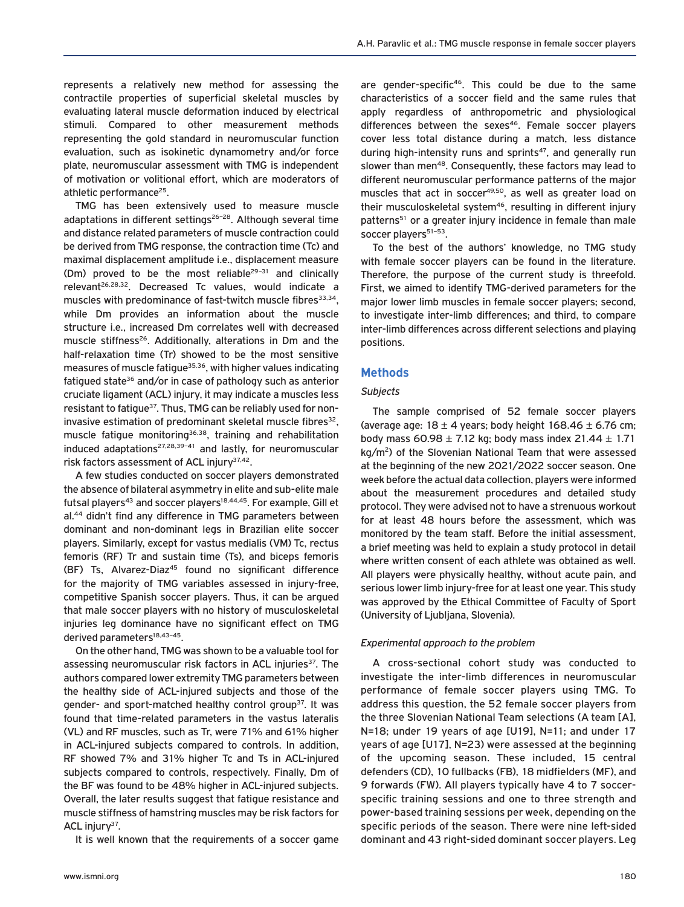represents a relatively new method for assessing the contractile properties of superficial skeletal muscles by evaluating lateral muscle deformation induced by electrical stimuli. Compared to other measurement methods representing the gold standard in neuromuscular function evaluation, such as isokinetic dynamometry and/or force plate, neuromuscular assessment with TMG is independent of motivation or volitional effort, which are moderators of athletic performance<sup>25</sup>.

TMG has been extensively used to measure muscle adaptations in different settings<sup>26-28</sup>. Although several time and distance related parameters of muscle contraction could be derived from TMG response, the contraction time (Tc) and maximal displacement amplitude i.e., displacement measure (Dm) proved to be the most reliable<sup>29-31</sup> and clinically relevant26,28,32. Decreased Tc values, would indicate a muscles with predominance of fast-twitch muscle fibres<sup>33,34</sup>, while Dm provides an information about the muscle structure i.e., increased Dm correlates well with decreased muscle stiffness<sup>26</sup>. Additionally, alterations in Dm and the half-relaxation time (Tr) showed to be the most sensitive measures of muscle fatigue<sup>35,36</sup>, with higher values indicating fatigued state<sup>36</sup> and/or in case of pathology such as anterior cruciate ligament (ACL) injury, it may indicate a muscles less resistant to fatigue<sup>37</sup>. Thus, TMG can be reliably used for noninvasive estimation of predominant skeletal muscle fibres $32$ , muscle fatigue monitoring<sup>36,38</sup>, training and rehabilitation induced adaptations<sup>27,28,39-41</sup> and lastly, for neuromuscular risk factors assessment of ACL injury<sup>37,42</sup>.

A few studies conducted on soccer players demonstrated the absence of bilateral asymmetry in elite and sub-elite male futsal players<sup>43</sup> and soccer players<sup>18,44,45</sup>. For example, Gill et al.<sup>44</sup> didn't find any difference in TMG parameters between dominant and non-dominant legs in Brazilian elite soccer players. Similarly, except for vastus medialis (VM) Tc, rectus femoris (RF) Tr and sustain time (Ts), and biceps femoris (BF) Ts, Alvarez-Diaz<sup>45</sup> found no significant difference for the majority of TMG variables assessed in injury-free, competitive Spanish soccer players. Thus, it can be argued that male soccer players with no history of musculoskeletal injuries leg dominance have no significant effect on TMG derived parameters<sup>18,43-45</sup>.

On the other hand, TMG was shown to be a valuable tool for assessing neuromuscular risk factors in ACL injuries<sup>37</sup>. The authors compared lower extremity TMG parameters between the healthy side of ACL-injured subjects and those of the gender- and sport-matched healthy control group<sup>37</sup>. It was found that time-related parameters in the vastus lateralis (VL) and RF muscles, such as Tr, were 71% and 61% higher in ACL-injured subjects compared to controls. In addition, RF showed 7% and 31% higher Tc and Ts in ACL-injured subjects compared to controls, respectively. Finally, Dm of the BF was found to be 48% higher in ACL-injured subjects. Overall, the later results suggest that fatigue resistance and muscle stiffness of hamstring muscles may be risk factors for ACL injury $37$ .

It is well known that the requirements of a soccer game

are gender-specific<sup>46</sup>. This could be due to the same characteristics of a soccer field and the same rules that apply regardless of anthropometric and physiological differences between the sexes<sup>46</sup>. Female soccer players cover less total distance during a match, less distance during high-intensity runs and sprints<sup>47</sup>, and generally run slower than men<sup>48</sup>. Consequently, these factors may lead to different neuromuscular performance patterns of the major muscles that act in soccer<sup>49,50</sup>, as well as greater load on their musculoskeletal system<sup>46</sup>, resulting in different injury patterns<sup>51</sup> or a greater injury incidence in female than male soccer players<sup>51-53</sup>.

To the best of the authors' knowledge, no TMG study with female soccer players can be found in the literature. Therefore, the purpose of the current study is threefold. First, we aimed to identify TMG-derived parameters for the major lower limb muscles in female soccer players; second, to investigate inter-limb differences; and third, to compare inter-limb differences across different selections and playing positions.

### **Methods**

### *Subjects*

The sample comprised of 52 female soccer players (average age:  $18 \pm 4$  years; body height  $168.46 \pm 6.76$  cm; body mass  $60.98 \pm 7.12$  kg; body mass index  $21.44 \pm 1.71$ kg/m2) of the Slovenian National Team that were assessed at the beginning of the new 2021/2022 soccer season. One week before the actual data collection, players were informed about the measurement procedures and detailed study protocol. They were advised not to have a strenuous workout for at least 48 hours before the assessment, which was monitored by the team staff. Before the initial assessment, a brief meeting was held to explain a study protocol in detail where written consent of each athlete was obtained as well. All players were physically healthy, without acute pain, and serious lower limb injury-free for at least one year. This study was approved by the Ethical Committee of Faculty of Sport (University of Ljubljana, Slovenia).

#### *Experimental approach to the problem*

A cross-sectional cohort study was conducted to investigate the inter-limb differences in neuromuscular performance of female soccer players using TMG. To address this question, the 52 female soccer players from the three Slovenian National Team selections (A team [A], N=18; under 19 years of age [U19], N=11; and under 17 years of age [U17], N=23) were assessed at the beginning of the upcoming season. These included, 15 central defenders (CD), 10 fullbacks (FB), 18 midfielders (MF), and 9 forwards (FW). All players typically have 4 to 7 soccerspecific training sessions and one to three strength and power-based training sessions per week, depending on the specific periods of the season. There were nine left-sided dominant and 43 right-sided dominant soccer players. Leg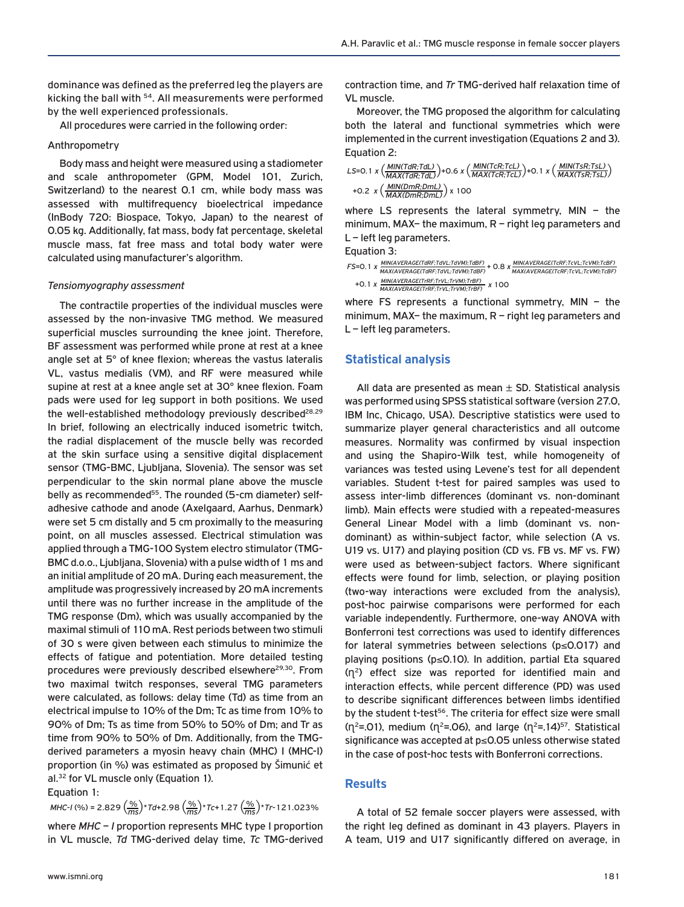dominance was defined as the preferred leg the players are kicking the ball with <sup>54</sup>. All measurements were performed by the well experienced professionals.

All procedures were carried in the following order:

#### Anthropometry

Body mass and height were measured using a stadiometer and scale anthropometer (GPM, Model 101, Zurich, Switzerland) to the nearest 0.1 cm, while body mass was assessed with multifrequency bioelectrical impedance (InBody 720: Biospace, Tokyo, Japan) to the nearest of 0.05 kg. Additionally, fat mass, body fat percentage, skeletal muscle mass, fat free mass and total body water were calculated using manufacturer's algorithm.

#### *Tensiomyography assessment*

The contractile properties of the individual muscles were assessed by the non-invasive TMG method. We measured superficial muscles surrounding the knee joint. Therefore, BF assessment was performed while prone at rest at a knee angle set at 5° of knee flexion; whereas the vastus lateralis VL, vastus medialis (VM), and RF were measured while supine at rest at a knee angle set at 30° knee flexion. Foam pads were used for leg support in both positions. We used the well-established methodology previously described<sup>28,29</sup> In brief, following an electrically induced isometric twitch, the radial displacement of the muscle belly was recorded at the skin surface using a sensitive digital displacement sensor (TMG-BMC, Ljubljana, Slovenia). The sensor was set perpendicular to the skin normal plane above the muscle belly as recommended<sup>55</sup>. The rounded (5-cm diameter) selfadhesive cathode and anode (Axelgaard, Aarhus, Denmark) were set 5 cm distally and 5 cm proximally to the measuring point, on all muscles assessed. Electrical stimulation was applied through a TMG-100 System electro stimulator (TMG-BMC d.o.o., Ljubljana, Slovenia) with a pulse width of 1 ms and an initial amplitude of 20 mA. During each measurement, the amplitude was progressively increased by 20 mA increments until there was no further increase in the amplitude of the TMG response (Dm), which was usually accompanied by the maximal stimuli of 110 mA. Rest periods between two stimuli of 30 s were given between each stimulus to minimize the effects of fatigue and potentiation. More detailed testing procedures were previously described elsewhere<sup>29,30</sup>. From two maximal twitch responses, several TMG parameters were calculated, as follows: delay time (Td) as time from an electrical impulse to 10% of the Dm; Tc as time from 10% to 90% of Dm; Ts as time from 50% to 50% of Dm; and Tr as time from 90% to 50% of Dm. Additionally, from the TMGderived parameters a myosin heavy chain (MHC) I (MHC-I) proportion (in %) was estimated as proposed by Šimunić et al.32 for VL muscle only (Equation 1).

Equation 1:

*MHC-I* (%) = 2.829  $\left(\frac{\%}{m_s}\right)$  \* *Td*+2.98  $\left(\frac{\%}{m_s}\right)$  \* *Tc*+1.27  $\left(\frac{\%}{m_s}\right)$  \* *Tr*-121.023%

where *MHC – I* proportion represents MHC type I proportion in VL muscle, *Td* TMG-derived delay time, *Tc* TMG-derived contraction time, and *Tr* TMG-derived half relaxation time of VL muscle.

Moreover, the TMG proposed the algorithm for calculating both the lateral and functional symmetries which were implemented in the current investigation (Equations 2 and 3). Equation 2:

$$
LS=0.1 \times \left(\frac{MIN(TdR; TdL)}{MAX(TdR; TdL)}\right) + 0.6 \times \left(\frac{MIN(TcR; TcL)}{MAX(TcR; TcL)}\right) + 0.1 \times \left(\frac{MIN(TsR; TsL)}{MAX(TsR; TsL)}\right) + 0.2 \times \left(\frac{MIN(DmR; DmL)}{MAX(DmR; DmL)}\right) \times 100
$$

where LS represents the lateral symmetry, MIN  $-$  the minimum, MAX– the maximum, R – right leg parameters and L – left leg parameters.

Equation 3:

*FS*=0.1 *x MIN(AVERAGE(TdRF;TdVL;TdVM);TdBF) MAX(AVERAGE(TdRF;TdVL;TdVM);TdBF) MIN(AVERAGE(TcRF;TcVL;TcVM);TcBF) MAX(AVERAGE(TcRF;TcVL;TcVM);TcBF)* + 0.8 *x MIN(AVERAGE(TrRF;TrVL;TrVM);TrBF) MAX(AVERAGE(TrRF;TrVL;TrVM);TrBF) x* 100 +0.1 *x*

where FS represents a functional symmetry, MIN  $-$  the minimum, MAX– the maximum,  $R$  – right leg parameters and  $L$  – left leg parameters.

### **Statistical analysis**

All data are presented as mean  $\pm$  SD. Statistical analysis was performed using SPSS statistical software (version 27.0, IBM Inc, Chicago, USA). Descriptive statistics were used to summarize player general characteristics and all outcome measures. Normality was confirmed by visual inspection and using the Shapiro-Wilk test, while homogeneity of variances was tested using Levene's test for all dependent variables. Student t-test for paired samples was used to assess inter-limb differences (dominant vs. non-dominant limb). Main effects were studied with a repeated-measures General Linear Model with a limb (dominant vs. nondominant) as within-subject factor, while selection (A vs. U19 vs. U17) and playing position (CD vs. FB vs. MF vs. FW) were used as between-subject factors. Where significant effects were found for limb, selection, or playing position (two-way interactions were excluded from the analysis), post-hoc pairwise comparisons were performed for each variable independently. Furthermore, one-way ANOVA with Bonferroni test corrections was used to identify differences for lateral symmetries between selections (p≤0.017) and playing positions (p≤0.10). In addition, partial Eta squared  $(n<sup>2</sup>)$  effect size was reported for identified main and interaction effects, while percent difference (PD) was used to describe significant differences between limbs identified by the student t-test<sup>56</sup>. The criteria for effect size were small ( $\eta^2$ =.01), medium ( $\eta^2$ =.06), and large ( $\eta^2$ =.14)<sup>57</sup>. Statistical significance was accepted at p≤0.05 unless otherwise stated in the case of post-hoc tests with Bonferroni corrections.

## **Results**

A total of 52 female soccer players were assessed, with the right leg defined as dominant in 43 players. Players in A team, U19 and U17 significantly differed on average, in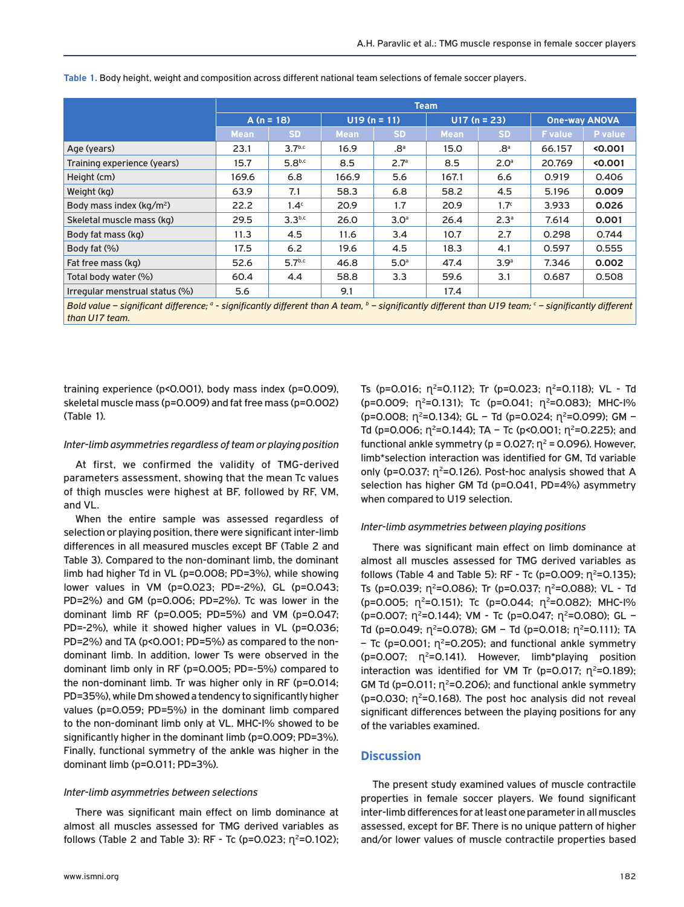|                                                                                                                                                                                                   | <b>Team</b> |                    |               |                  |             |                  |                |                      |  |  |  |  |
|---------------------------------------------------------------------------------------------------------------------------------------------------------------------------------------------------|-------------|--------------------|---------------|------------------|-------------|------------------|----------------|----------------------|--|--|--|--|
|                                                                                                                                                                                                   | $A(n = 18)$ |                    | $U19(n = 11)$ |                  |             | $U17(n = 23)$    |                | <b>One-way ANOVA</b> |  |  |  |  |
|                                                                                                                                                                                                   | <b>Mean</b> | <b>SD</b>          | <b>Mean</b>   | <b>SD</b>        | <b>Mean</b> | <b>SD</b>        | <b>F</b> value | P value              |  |  |  |  |
| Age (years)                                                                                                                                                                                       | 23.1        | 3.7 <sup>b,c</sup> | 16.9          | $.8^{\circ}$     | 15.0        | .8 <sup>a</sup>  | 66.157         | 0.001                |  |  |  |  |
| Training experience (years)                                                                                                                                                                       | 15.7        | 5.8 <sup>b,c</sup> | 8.5           | 2.7 <sup>a</sup> | 8.5         | 2.0 <sup>a</sup> | 20.769         | 0.001                |  |  |  |  |
| Height (cm)                                                                                                                                                                                       | 169.6       | 6.8                | 166.9         | 5.6              | 167.1       | 6.6              | 0.919          | 0.406                |  |  |  |  |
| Weight (kg)                                                                                                                                                                                       | 63.9        | 7.1                | 58.3          | 6.8              | 58.2        | 4.5              | 5.196          | 0.009                |  |  |  |  |
| Body mass index (kg/m <sup>2</sup> )                                                                                                                                                              | 22.2        | 1.4 <sup>c</sup>   | 20.9          | 1.7              | 20.9        | 1.7 <sup>c</sup> | 3.933          | 0.026                |  |  |  |  |
| Skeletal muscle mass (kg)                                                                                                                                                                         | 29.5        | $3.3^{b,c}$        | 26.0          | 3.0 <sup>a</sup> | 26.4        | 2.3 <sup>a</sup> | 7.614          | 0.001                |  |  |  |  |
| Body fat mass (kg)                                                                                                                                                                                | 11.3        | 4.5                | 11.6          | 3.4              | 10.7        | 2.7              | 0.298          | 0.744                |  |  |  |  |
| Body fat (%)                                                                                                                                                                                      | 17.5        | 6.2                | 19.6          | 4.5              | 18.3        | 4.1              | 0.597          | 0.555                |  |  |  |  |
| Fat free mass (kg)                                                                                                                                                                                | 52.6        | 5.7 <sup>b,c</sup> | 46.8          | 5.0 <sup>a</sup> | 47.4        | 3.9 <sup>a</sup> | 7.346          | 0.002                |  |  |  |  |
| Total body water (%)                                                                                                                                                                              | 60.4        | 4.4                | 58.8          | 3.3              | 59.6        | 3.1              | 0.687          | 0.508                |  |  |  |  |
| Irregular menstrual status (%)                                                                                                                                                                    | 5.6         |                    | 9.1           |                  | 17.4        |                  |                |                      |  |  |  |  |
| Bold value – significant difference; $^{\circ}$ - significantly different than A team, $^{\circ}$ – significantly different than U19 team; $^{\circ}$ – significantly different<br>than U17 team. |             |                    |               |                  |             |                  |                |                      |  |  |  |  |

**Table 1.** Body height, weight and composition across different national team selections of female soccer players.

training experience (p<0.001), body mass index (p=0.009), skeletal muscle mass (p=0.009) and fat free mass (p=0.002) (Table 1).

#### *Inter-limb asymmetries regardless of team or playing position*

At first, we confirmed the validity of TMG-derived parameters assessment, showing that the mean Tc values of thigh muscles were highest at BF, followed by RF, VM, and VL.

When the entire sample was assessed regardless of selection or playing position, there were significant inter-limb differences in all measured muscles except BF (Table 2 and Table 3). Compared to the non-dominant limb, the dominant limb had higher Td in VL (p=0.008; PD=3%), while showing lower values in VM (p=0.023; PD=-2%), GL (p=0.043; PD=2%) and GM (p=0.006; PD=2%). Tc was lower in the dominant limb RF (p=0.005; PD=5%) and VM (p=0.047; PD=-2%), while it showed higher values in VL (p=0.036; PD=2%) and TA (p<0.001; PD=5%) as compared to the nondominant limb. In addition, lower Ts were observed in the dominant limb only in RF (p=0.005; PD=-5%) compared to the non-dominant limb. Tr was higher only in RF (p=0.014; PD=35%), while Dm showed a tendency to significantly higher values (p=0.059; PD=5%) in the dominant limb compared to the non-dominant limb only at VL. MHC-I% showed to be significantly higher in the dominant limb (p=0.009; PD=3%). Finally, functional symmetry of the ankle was higher in the dominant limb (p=0.011; PD=3%).

#### *Inter-limb asymmetries between selections*

There was significant main effect on limb dominance at almost all muscles assessed for TMG derived variables as follows (Table 2 and Table 3): RF - Tc (p=0.023;  $\eta^2$ =0.102); Ts (p=0.016;  $n^2$ =0.112); Tr (p=0.023;  $n^2$ =0.118); VL - Td (p=0.009;  $\eta^2$ =0.131); Tc (p=0.041;  $\eta^2$ =0.083); MHC-I% (p=0.008;  $\eta^2$ =0.134); GL - Td (p=0.024;  $\eta^2$ =0.099); GM -Td (p=0.006;  $\eta^2$ =0.144); TA – Tc (p<0.001;  $\eta^2$ =0.225); and functional ankle symmetry ( $p = 0.027$ ;  $n^2 = 0.096$ ). However, limb\*selection interaction was identified for GM, Td variable only (p=0.037;  $\eta^2$ =0.126). Post-hoc analysis showed that A selection has higher GM Td (p=0.041, PD=4%) asymmetry when compared to U19 selection.

#### *Inter-limb asymmetries between playing positions*

There was significant main effect on limb dominance at almost all muscles assessed for TMG derived variables as follows (Table 4 and Table 5): RF - Tc (p=0.009;  $\eta^2$ =0.135); Ts (p=0.039;  $\eta^2$ =0.086); Tr (p=0.037;  $\eta^2$ =0.088); VL - Td (p=0.005;  $\eta^2$ =0.151); Tc (p=0.044;  $\eta^2$ =0.082); MHC-I% (p=0.007; ɳ2=0.144); VM - Tc (p=0.047; ɳ2=0.080); GL – Td (p=0.049;  $\eta^2$ =0.078); GM - Td (p=0.018;  $\eta^2$ =0.111); TA  $-$  Tc (p=0.001;  $\eta^2$ =0.205); and functional ankle symmetry ( $p=0.007$ ;  $\eta^2=0.141$ ). However, limb\*playing position interaction was identified for VM Tr (p=0.017;  $\eta^2$ =0.189); GM Td (p=0.011;  $\eta^2$ =0.206); and functional ankle symmetry ( $p=0.030$ ;  $\eta^2=0.168$ ). The post hoc analysis did not reveal significant differences between the playing positions for any of the variables examined.

## **Discussion**

The present study examined values of muscle contractile properties in female soccer players. We found significant inter-limb differences for at least one parameter in all muscles assessed, except for BF. There is no unique pattern of higher and/or lower values of muscle contractile properties based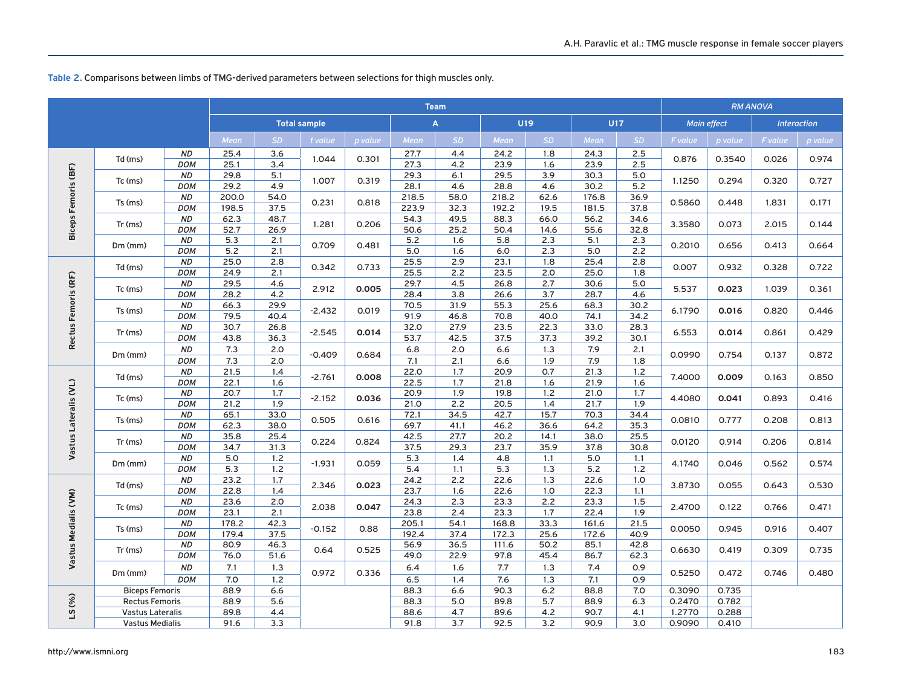**Team** *RM ANOVA*  **Total sample A U19 U17** *Main effect Interaction* Td (ms) *ND* 25.4 3.6 1.044 0.301 27.7 4.4 24.2 1.8 24.3 2.5 0.876 0.3540 0.026 0.974 *DOM* 25.1 3.4 27.3 4.2 23.9 1.6 23.9 2.5 **Biceps Femoris (BF) Biceps Femoris (BF)** Tc (ms) *ND* 29.8 5.1 1.007 0.319 29.3 6.1 29.5 3.9 30.3 5.0 1.1250 0.294 0.320 0.727 *DOM* 29.2 4.9 28.1 4.6 28.8 4.6 30.2 5.2 Ts (ms) *ND* 200.0 54.0 0.231 0.818 218.5 58.0 218.2 62.6 176.8 36.9 0.5860 0.448 1.831 0.171 <br>DOM 198.5 37.5 0.231 0.818 223.9 32.3 192.2 19.5 181.5 37.8 0.5860 0.448 1.831 0.171 Tr (ms) *ND* 62.3 48.7 1.281 0.206 54.3 49.5 88.3 66.0 56.2 34.6 3.3580 0.073 2.015 0.144 *DOM* 52.7 26.9 50.6 25.2 50.4 14.6 55.6 32.8 Dm (mm) *ND* 5.3 2.1 0.709 0.481 5.2 1.6 5.8 2.3 5.1 2.3 0.2010 0.656 0.413 0.664 *DOM* 5.2 2.1 5.0 1.6 6.0 2.3 5.0 2.2 Td (ms) *ND* 25.0 2.8 0.342 0.733 25.5 2.9 23.1 1.8 25.4 2.8 0.007 0.932 0.328 0.722 *DOM* 24.9 2.1 25.5 2.2 23.5 2.0 25.0 1.8 Rectus Femoris (RF) **Rectus Femoris (RF)** Tc (ms) *ND* 29.5 4.6 2.912 **0.005** 29.7 4.5 26.8 2.7 30.6 5.0 5.537 **0.023** 1.039 0.361 *DOM* 28.2 4.2 28.4 3.8 26.6 3.7 28.7 4.6 Ts (ms) *ND* 66.3 29.9 -2.432 0.019 70.5 31.9 55.3 25.6 68.3 30.2 6.1790 **0.016** 0.820 0.446 *DOM* 79.5 40.4 91.9 46.8 70.8 40.0 74.1 34.2 Tr (ms) *ND* 30.7 26.8 -2.545 **0.014** 32.0 27.9 23.5 22.3 33.0 28.3 6.553 **0.014** 0.861 0.429 *DOM* 43.8 36.3 53.7 42.5 37.5 37.3 39.2 30.1 Dm (mm) *ND* 7.3 2.0 -0.409 0.684 6.8 2.0 6.6 1.3 7.9 2.1 0.0990 0.754 0.137 0.872 *DOM* 7.3 2.0 7.1 2.1 6.6 1.9 7.9 1.8 Td (ms) *ND* 21.5 1.4 -2.761 **0.008** 22.0 1.7 20.9 0.7 21.3 1.2 7.4000 **0.009** 0.163 0.850 *DOM* 22.1 1.6 22.5 1.7 21.8 1.6 21.9 1.6 Vastus Lateralis (VL) **Vastus Lateralis (VL)** Tc (ms) *ND* 20.7 1.7 -2.152 **0.036** 20.9 1.9 19.8 1.2 21.0 1.7 4.4080 **0.041** 0.893 0.416 *DOM* 21.2 1.9 21.0 2.2 20.5 1.4 21.7 1.9 Ts (ms) *ND* 65.1 33.0 0.505 0.616 72.1 34.5 42.7 15.7 70.3 34.4 0.0810 0.777 0.208 0.813 *DOM* 62.3 38.0 69.7 41.1 46.2 36.6 64.2 35.3 Tr (ms) *ND* 35.8 25.4 0.224 0.824 42.5 27.7 20.2 14.1 38.0 25.5 0.0120 0.914 0.206 0.814 *DOM* 34.7 31.3 37.5 29.3 23.7 35.9 37.8 30.8 Dm (mm) *ND* 5.0 1.2 -1.931 0.059 5.3 1.4 4.8 1.1 5.0 1.1 4.1740 0.046 0.562 0.574 *DOM* 5.3 1.2 5.4 1.1 5.3 1.3 5.2 1.2 Td (ms) *ND* 23.2 1.7 2.346 **0.023** 24.2 2.2 22.6 1.3 22.6 1.0 3.8730 0.055 0.643 0.530 *DOM* 22.8 1.4 23.7 1.6 22.6 1.0 22.3 1.1 Vastus Medialis (VM) **Vastus Medialis (VM)** Tc (ms) *ND* 23.6 2.0 2.038 **0.047** 24.3 2.3 23.3 2.2 23.3 1.5 2.4700 0.122 0.766 0.471 *DOM* 23.1 2.1 23.8 2.4 23.3 1.7 22.4 1.9 Ts (ms) <mark>ND 178.2 42.3</mark> -0.152 0.88 205.1 54.1 168.8 33.3 161.6 21.5 0.0050 0.945 0.916 0.407<br>DOM 179.4 37.5 -0.152 0.88 192.4 37.4 172.3 25.6 172.6 40.9 0.0050 0.945 0.916 0.407 Tr (ms) *ND* 80.9 46.3 0.64 0.525 56.9 36.5 111.6 50.2 85.1 42.8 0.6630 0.419 0.309 0.735 *DOM* 76.0 51.6 49.0 22.9 97.8 45.4 86.7 62.3 Dm (mm) *ND* 7.1 1.3 0.972 0.336 6.4 1.6 7.7 1.3 7.4 0.9 0.5250 0.472 0.746 0.480 *DOM* 7.0 1.2  $\vert$  <sup>21.1</sup>  $\vert$  <sup>21.21</sup> 6.5 1.4 7.6 1.3 7.1 0.9 Biceps Femoris | 88.9 | 6.6 | | 88.3 | 6.6 | 90.3 | 6.2 | 88.8 | 7.0 | 0.3090 | 0.735 **LS (%)** Rectus Femoris | 88.9 | 5.6 | | 88.3 | 5.0 | 89.8 | 5.7 | 88.9 | 6.3 | 0.2470 | 0.782 Vastus Lateralis 89.8 4.4 88.6 4.7 89.6 4.2 90.7 4.1 1.2770 0.288 Vastus Medialis 91.6 3.3 91.8 3.7 92.5 3.2 90.9 3.0 0.9090 0.410

**Table 2.** Comparisons between limbs of TMG-derived parameters between selections for thigh muscles only.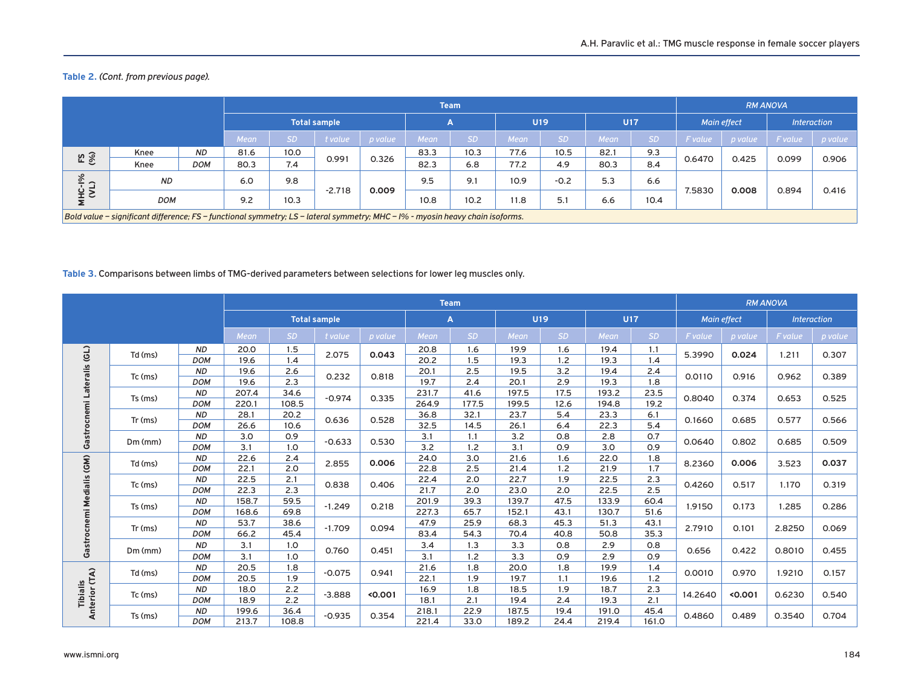## **Table 2.** *(Cont. from previous page).*

|               |                                                                                                                               |            |      |                   |                     |         |             | <b>Team</b> |      | <b>RM ANOVA</b> |             |           |                |         |                    |         |
|---------------|-------------------------------------------------------------------------------------------------------------------------------|------------|------|-------------------|---------------------|---------|-------------|-------------|------|-----------------|-------------|-----------|----------------|---------|--------------------|---------|
|               |                                                                                                                               |            |      |                   | <b>Total sample</b> |         | A           |             | U19  |                 | U17         |           | Main effect    |         | <i>Interaction</i> |         |
|               |                                                                                                                               |            | Mean | <b>SD</b>         | t value             | p value | <b>Mean</b> | <b>SD</b>   | Mean | <b>SD</b>       | <b>Mean</b> | <b>SD</b> | <b>F</b> value | p value | <b>F</b> value     | p value |
|               | Knee                                                                                                                          | <b>ND</b>  | 81.6 | 10.0 <sub>1</sub> |                     | 0.326   | 83.3        | 10.3        | 77.6 | 10.5            | 82.1        | 9.3       |                | 0.425   | 0.099              | 0.906   |
| $FS$<br>(%)   | Knee                                                                                                                          | <b>DOM</b> | 80.3 | 7.4               | 0.991               |         | 82.3        | 6.8         | 77.2 | 4.9             | 80.3        | 8.4       | 0.6470         |         |                    |         |
| $\frac{8}{1}$ | <b>ND</b><br>오오<br><b>DOM</b>                                                                                                 |            | 6.0  | 9.8               |                     |         | 9.5         | 9.1         | 10.9 | $-0.2$          | 5.3         | 6.6       | 7.5830         | 0.008   | 0.894              | 0.416   |
|               |                                                                                                                               |            | 9.2  | 10.3              | $-2.718$            | 0.009   | 10.8        | 10.2        | 11.8 | 5.1             | 6.6         | 10.4      |                |         |                    |         |
|               | Bold value – significant difference; FS – functional symmetry; LS – lateral symmetry; MHC – I% - myosin heavy chain isoforms. |            |      |                   |                     |         |             |             |      |                 |             |           |                |         |                    |         |

# **Table 3.** Comparisons between limbs of TMG-derived parameters between selections for lower leg muscles only.

|                           |               |            | <b>Team</b> |           |                     |         |             |              |                 |      |             |           |                    | <b>RM ANOVA</b> |                    |                         |  |
|---------------------------|---------------|------------|-------------|-----------|---------------------|---------|-------------|--------------|-----------------|------|-------------|-----------|--------------------|-----------------|--------------------|-------------------------|--|
|                           |               |            |             |           | <b>Total sample</b> |         |             | $\mathbf{A}$ | U <sub>19</sub> |      | <b>U17</b>  |           | <b>Main effect</b> |                 | <b>Interaction</b> |                         |  |
|                           |               |            | <b>Mean</b> | <b>SD</b> | t value             | p value | <b>Mean</b> | <b>SD</b>    | <b>Mean</b>     | SD.  | <b>Mean</b> | <b>SD</b> | <b>F</b> value     | p value         | <b>F</b> value     | p value                 |  |
| (GL)                      | Td (ms)       | <b>ND</b>  | 20.0        | 1.5       | 2.075               | 0.043   | 20.8        | 1.6          | 19.9            | 1.6  | 19.4        | 1.1       | 5.3990             | 0.024           | 1.211              | 0.307<br>0.389<br>0.525 |  |
|                           |               | <b>DOM</b> | 19.6        | 1.4       |                     |         | 20.2        | 1.5          | 19.3            | 1.2  | 19.3        | 1.4       |                    |                 |                    |                         |  |
|                           | Tc (ms)       | <b>ND</b>  | 19.6        | 2.6       | 0.232               | 0.818   | 20.1        | 2.5          | 19.5            | 3.2  | 19.4        | 2.4       | 0.0110             | 0.916           | 0.962              |                         |  |
|                           |               | <b>DOM</b> | 19.6        | 2.3       |                     |         | 19.7        | 2.4          | 20.1            | 2.9  | 19.3        | 1.8       |                    |                 |                    |                         |  |
|                           | Ts (ms)       | <b>ND</b>  | 207.4       | 34.6      | $-0.974$            | 0.335   | 231.7       | 41.6         | 197.5           | 17.5 | 193.2       | 23.5      | 0.8040             | 0.374           | 0.653              |                         |  |
|                           |               | <b>DOM</b> | 220.1       | 108.5     |                     |         | 264.9       | 177.5        | 199.5           | 12.6 | 194.8       | 19.2      |                    |                 |                    | 0.566                   |  |
| Gastrocnemi Lateralis     | Tr(ms)        | <b>ND</b>  | 28.1        | 20.2      | 0.636               | 0.528   | 36.8        | 32.1         | 23.7            | 5.4  | 23.3        | 6.1       | 0.1660             | 0.685           | 0.577              |                         |  |
|                           |               | <b>DOM</b> | 26.6        | 10.6      |                     |         | 32.5        | 14.5         | 26.1            | 6.4  | 22.3        | 5.4       |                    |                 |                    |                         |  |
|                           | $Dm$ ( $mm$ ) | <b>ND</b>  | 3.0         | 0.9       | $-0.633$            | 0.530   | 3.1         | 1.1          | 3.2             | 0.8  | 2.8         | O.7       | 0.0640             | 0.802           | 0.685              | 0.509                   |  |
|                           |               | <b>DOM</b> | 3.1         | 1.0       |                     |         | 3.2         | 1.2          | 3.1             | 0.9  | 3.0         | 0.9       |                    |                 |                    |                         |  |
| Gastrocnemi Medialis (GM) | Td (ms)       | <b>ND</b>  | 22.6        | 2.4       | 2.855               | 0.006   | 24.0        | 3.0          | 21.6            | 1.6  | 22.0        | 1.8       | 8.2360             | 0.006           | 3.523              | 0.037                   |  |
|                           |               | <b>DOM</b> | 22.1        | 2.0       |                     |         | 22.8        | 2.5          | 21.4            | 1.2  | 21.9        | 1.7       |                    |                 |                    |                         |  |
|                           | Tc (ms)       | <b>ND</b>  | 22.5        | 2.1       | 0.838               | 0.406   | 22.4        | 2.0          | 22.7            | 1.9  | 22.5        | 2.3       | 0.4260             | 0.517           | 1.170              | 0.319                   |  |
|                           |               | <b>DOM</b> | 22.3        | 2.3       |                     |         | 21.7        | 2.0          | 23.0            | 2.0  | 22.5        | 2.5       |                    |                 |                    |                         |  |
|                           | Ts (ms)       | <b>ND</b>  | 158.7       | 59.5      | $-1.249$            | 0.218   | 201.9       | 39.3         | 139.7           | 47.5 | 133.9       | 60.4      | 1.9150             | 0.173           | 1.285              | 0.286                   |  |
|                           |               | <b>DOM</b> | 168.6       | 69.8      |                     |         | 227.3       | 65.7         | 152.1           | 43.1 | 130.7       | 51.6      |                    |                 |                    |                         |  |
|                           | Tr(ms)        | <b>ND</b>  | 53.7        | 38.6      | $-1.709$            | 0.094   | 47.9        | 25.9         | 68.3            | 45.3 | 51.3        | 43.1      | 2.7910             | 0.101           | 2.8250             | 0.069                   |  |
|                           |               | <b>DOM</b> | 66.2        | 45.4      |                     |         | 83.4        | 54.3         | 70.4            | 40.8 | 50.8        | 35.3      |                    |                 |                    |                         |  |
|                           | $Dm$ ( $mm$ ) | <b>ND</b>  | 3.1         | 1.0       | 0.760               | 0.451   | 3.4         | 1.3          | 3.3             | 0.8  | 2.9         | 0.8       | 0.656              | 0.422           | 0.8010             | 0.455                   |  |
|                           |               | <b>DOM</b> | 3.1         | 1.0       |                     |         | 3.1         | 1.2          | 3.3             | 0.9  | 2.9         | 0.9       |                    |                 |                    |                         |  |
|                           | Td (ms)       | <b>ND</b>  | 20.5        | 1.8       | $-0.075$            | 0.941   | 21.6        | 1.8          | 20.0            | 1.8  | 19.9        | 1.4       | 0.0010             | 0.970           | 1.9210             |                         |  |
|                           |               | <b>DOM</b> | 20.5        | 1.9       |                     |         | 22.1        | 1.9          | 19.7            | 1.1  | 19.6        | 1.2       |                    |                 |                    | 0.157                   |  |
| Anterior (TA)<br>Tibialis | Tc (ms)       | <b>ND</b>  | 18.0        | 2.2       | $-3.888$            | 0.001   | 16.9        | 1.8          | 18.5            | 1.9  | 18.7        | 2.3       | 14.2640            | 0.001           | 0.6230             | 0.540                   |  |
|                           |               | <b>DOM</b> | 18.9        | 2.2       |                     |         | 18.1        | 2.1          | 19.4            | 2.4  | 19.3        | 2.1       |                    |                 |                    |                         |  |
|                           | $Ts$ (ms)     | <b>ND</b>  | 199.6       | 36.4      | $-0.935$            | 0.354   | 218.1       | 22.9         | 187.5           | 19.4 | 191.0       | 45.4      | 0.4860             | 0.489           | 0.3540             | 0.704                   |  |
|                           |               | <b>DOM</b> | 213.7       | 108.8     |                     |         | 221.4       | 33.0         | 189.2           | 24.4 | 219.4       | 161.0     |                    |                 |                    |                         |  |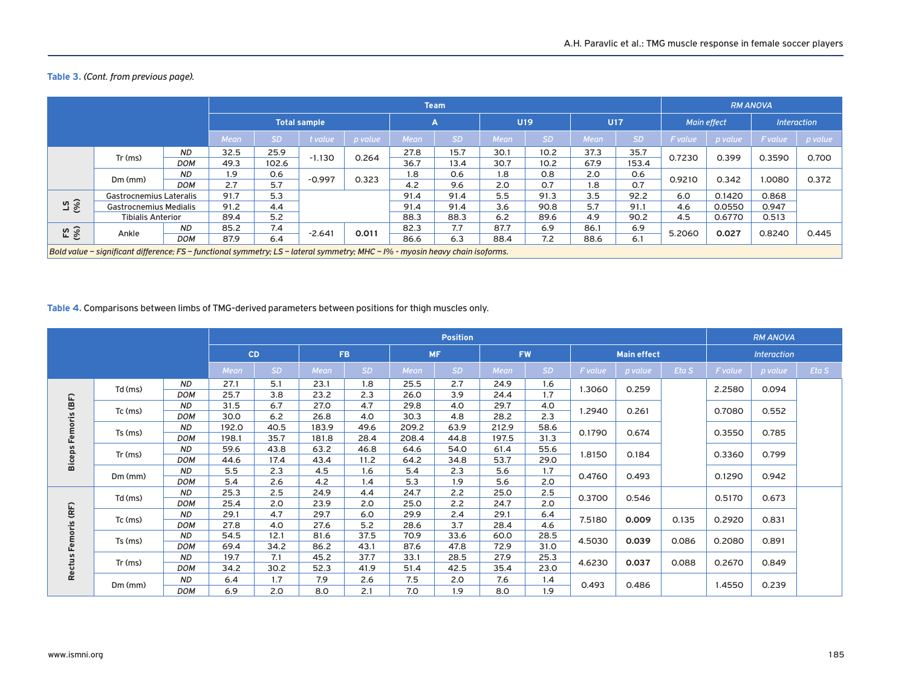## **Table 3.** *(Cont. from previous page).*

|                 |                                                                                                                                 |            | <b>Team</b>         |           |          |         |             |           |             |           |             |           |                    | <b>RM ANOVA</b> |                    |         |  |  |
|-----------------|---------------------------------------------------------------------------------------------------------------------------------|------------|---------------------|-----------|----------|---------|-------------|-----------|-------------|-----------|-------------|-----------|--------------------|-----------------|--------------------|---------|--|--|
|                 |                                                                                                                                 |            | <b>Total sample</b> |           |          |         | A           |           | <b>U19</b>  |           | <b>U17</b>  |           | <b>Main effect</b> |                 | <b>Interaction</b> |         |  |  |
|                 |                                                                                                                                 |            | Mean                | <b>SD</b> | t value  | p value | <b>Mean</b> | <b>SD</b> | <b>Mean</b> | <b>SD</b> | <b>Mean</b> | <b>SD</b> | F value            | p value         | F value            | p value |  |  |
|                 | <b>ND</b><br>Tr(ms)                                                                                                             |            | 32.5                | 25.9      | $-1.130$ | 0.264   | 27.8        | 15.7      | 30.1        | 10.2      | 37.3        | 35.7      | 0.7230             | 0.399           | 0.3590             | 0.700   |  |  |
|                 |                                                                                                                                 | <b>DOM</b> | 49.3                | 102.6     |          |         | 36.7        | 13.4      | 30.7        | 10.2      | 67.9        | 153.4     |                    |                 |                    |         |  |  |
|                 | $Dm$ ( $mm$ )                                                                                                                   | <b>ND</b>  | 1.9                 | 0.6       | $-0.997$ | 0.323   | 1.8         | 0.6       | 1.8         | 0.8       | 2.0         | 0.6       | 0.9210             | 0.342           | 1.0080             | 0.372   |  |  |
|                 |                                                                                                                                 | <b>DOM</b> | 2.7                 | 5.7       |          |         | 4.2         | 9.6       | 2.0         | 0.7       | 1.8         | 0.7       |                    |                 |                    |         |  |  |
|                 | <b>Gastrocnemius Lateralis</b>                                                                                                  |            | 91.7                | 5.3       |          |         | 91.4        | 91.4      | 5.5         | 91.3      | 3.5         | 92.2      | 6.0                | 0.1420          | 0.868              |         |  |  |
| $\frac{6}{5}$ 5 | <b>Gastrocnemius Medialis</b>                                                                                                   |            | 91.2                | 4.4       |          |         | 91.4        | 91.4      | 3.6         | 90.8      | 5.7         | 91.1      | 4.6                | 0.0550          | 0.947              |         |  |  |
|                 | <b>Tibialis Anterior</b>                                                                                                        |            | 89.4                | 5.2       |          |         | 88.3        | 88.3      | 6.2         | 89.6      | 4.9         | 90.2      | 4.5                | 0.6770          | 0.513              |         |  |  |
| F S             |                                                                                                                                 | <b>ND</b>  | 85.2                | 7.4       |          |         | 82.3        | 7.7       | 87.7        | 6.9       | 86.1        | 6.9       |                    |                 |                    |         |  |  |
|                 | Ankle                                                                                                                           | <b>DOM</b> | 87.9                | 6.4       | $-2.641$ | 0.011   | 86.6        | 6.3       | 88.4        | 7.2       | 88.6        | 6.1       | 5.2060             | 0.027           | 0.8240             | 0.445   |  |  |
|                 | Bold value – significant difference; FS – functional symmetry; LS – lateral symmetry; MHC – $\%$ - myosin heavy chain isoforms. |            |                     |           |          |         |             |           |             |           |             |           |                    |                 |                    |         |  |  |

## **Table 4.** Comparisons between limbs of TMG-derived parameters between positions for thigh muscles only.

|                               |               |            | <b>Position</b> |      |             |      |             |      |             |           |                    |         |        |                    | <b>RM ANOVA</b> |       |  |
|-------------------------------|---------------|------------|-----------------|------|-------------|------|-------------|------|-------------|-----------|--------------------|---------|--------|--------------------|-----------------|-------|--|
|                               |               |            | CD              |      | <b>FB</b>   |      | <b>MF</b>   |      | <b>FW</b>   |           | <b>Main effect</b> |         |        | <b>Interaction</b> |                 |       |  |
|                               |               |            | Mean            | SD.  | <b>Mean</b> | SD.  | <b>Mean</b> | SD   | <b>Mean</b> | <b>SD</b> | F value            | p value | Eta S  | F value            | p value         | Eta S |  |
|                               | $Td$ (ms)     | <b>ND</b>  | 27.1            | 5.1  | 23.1        | 1.8  | 25.5        | 2.7  | 24.9        | 1.6       | 1.3060             | 0.259   |        | 2.2580             |                 |       |  |
|                               |               | <b>DOM</b> | 25.7            | 3.8  | 23.2        | 2.3  | 26.0        | 3.9  | 24.4        | 1.7       |                    |         |        |                    | 0.094           |       |  |
|                               | Tc (ms)       | <b>ND</b>  | 31.5            | 6.7  | 27.0        | 4.7  | 29.8        | 4.0  | 29.7        | 4.0       | .2940              | 0.261   |        | 0.7080             | 0.552           |       |  |
| Femoris (BF)<br><b>Biceps</b> |               | <b>DOM</b> | 30.0            | 6.2  | 26.8        | 4.0  | 30.3        | 4.8  | 28.2        | 2.3       |                    |         |        |                    |                 |       |  |
|                               | Ts (ms)       | <b>ND</b>  | 192.0           | 40.5 | 183.9       | 49.6 | 209.2       | 63.9 | 212.9       | 58.6      | 0.1790             | 0.674   | 0.3550 | 0.785              |                 |       |  |
|                               |               | <b>DOM</b> | 198.1           | 35.7 | 181.8       | 28.4 | 208.4       | 44.8 | 197.5       | 31.3      |                    |         |        |                    |                 |       |  |
|                               | Tr(ms)        | <b>ND</b>  | 59.6            | 43.8 | 63.2        | 46.8 | 64.6        | 54.0 | 61.4        | 55.6      | 1.8150             | 0.184   |        | 0.3360             | 0.799           |       |  |
|                               |               | <b>DOM</b> | 44.6            | 17.4 | 43.4        | 11.2 | 64.2        | 34.8 | 53.7        | 29.0      |                    |         |        |                    |                 |       |  |
|                               | $Dm$ ( $mm$ ) | <b>ND</b>  | 5.5             | 2.3  | 4.5         | 1.6  | 5.4         | 2.3  | 5.6         | 1.7       | 0.4760             | 0.493   |        | 0.1290             | 0.942           |       |  |
|                               |               | <b>DOM</b> | 5.4             | 2.6  | 4.2         | 1.4  | 5.3         | 1.9  | 5.6         | 2.0       |                    |         |        |                    |                 |       |  |
|                               | Td (ms)       | <b>ND</b>  | 25.3            | 2.5  | 24.9        | 4.4  | 24.7        | 2.2  | 25.0        | 2.5       | 0.3700             | 0.546   |        | 0.5170             | 0.673           |       |  |
|                               |               | <b>DOM</b> | 25.4            | 2.0  | 23.9        | 2.0  | 25.0        | 2.2  | 24.7        | 2.0       |                    |         |        |                    |                 |       |  |
| Femoris (RF)                  | Tc (ms)       | <b>ND</b>  | 29.1            | 4.7  | 29.7        | 6.0  | 29.9        | 2.4  | 29.1        | 6.4       | 7.5180             | 0.009   | 0.135  | 0.2920             | 0.831           |       |  |
|                               |               | <b>DOM</b> | 27.8            | 4.0  | 27.6        | 5.2  | 28.6        | 3.7  | 28.4        | 4.6       |                    |         |        |                    |                 |       |  |
|                               | Ts (ms)       | <b>ND</b>  | 54.5            | 12.1 | 81.6        | 37.5 | 70.9        | 33.6 | 60.0        | 28.5      | 4.5030             | 0.039   | 0.086  | 0.2080             | 0.891           |       |  |
|                               |               | <b>DOM</b> | 69.4            | 34.2 | 86.2        | 43.1 | 87.6        | 47.8 | 72.9        | 31.0      |                    |         |        |                    |                 |       |  |
| Rectus                        | Tr(ms)        | <b>ND</b>  | 19.7            | 7.1  | 45.2        | 37.7 | 33.1        | 28.5 | 27.9        | 25.3      | 4.6230             | 0.037   | 0.088  | 0.2670             | 0.849           |       |  |
|                               |               | <b>DOM</b> | 34.2            | 30.2 | 52.3        | 41.9 | 51.4        | 42.5 | 35.4        | 23.0      |                    |         |        |                    |                 |       |  |
|                               |               | <b>ND</b>  | 6.4             | 1.7  | 7.9         | 2.6  | 7.5         | 2.0  | 7.6         | 1.4       | 0.493              | 0.486   |        | 1.4550             | 0.239           |       |  |
|                               | $Dm$ ( $mm$ ) | <b>DOM</b> | 6.9             | 2.0  | 8.0         | 2.1  | 7.0         | 1.9  | 8.0         | 1.9       |                    |         |        |                    |                 |       |  |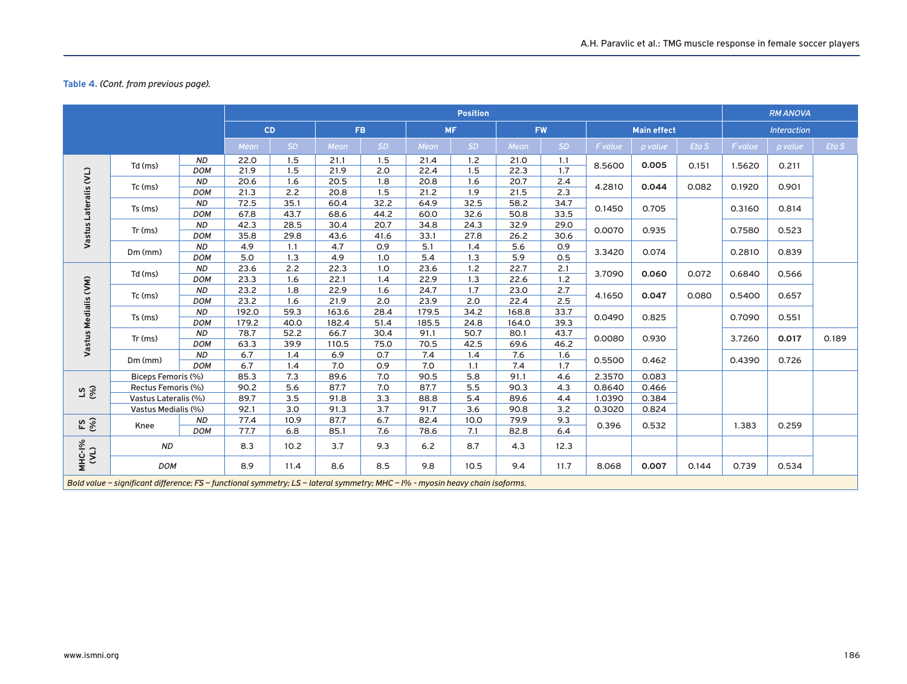|                       |                                                                                                                               |            | <b>Position</b> |           |             |      |           |           |           |      |         |                    |       |                    | <b>RM ANOVA</b> |       |  |  |
|-----------------------|-------------------------------------------------------------------------------------------------------------------------------|------------|-----------------|-----------|-------------|------|-----------|-----------|-----------|------|---------|--------------------|-------|--------------------|-----------------|-------|--|--|
|                       |                                                                                                                               |            | <b>CD</b>       |           | <b>FB</b>   |      | <b>MF</b> |           | <b>FW</b> |      |         | <b>Main effect</b> |       | <b>Interaction</b> |                 |       |  |  |
|                       |                                                                                                                               |            | Mean            | <b>SD</b> | <b>Mean</b> | SD   | Mean      | <b>SD</b> | Mean      | SD.  | F value | p value            | Eta S | F value            | p value         | Eta S |  |  |
|                       | Td (ms)                                                                                                                       | <b>ND</b>  | 22.0            | 1.5       | 21.1        | 1.5  | 21.4      | 1.2       | 21.0      | 1.1  | 8.5600  | 0.005              | 0.151 | 1.5620             | 0.211           |       |  |  |
|                       |                                                                                                                               | <b>DOM</b> | 21.9            | 1.5       | 21.9        | 2.0  | 22.4      | 1.5       | 22.3      | 1.7  |         |                    |       |                    |                 |       |  |  |
|                       | $Tc$ (ms)                                                                                                                     | <b>ND</b>  | 20.6            | 1.6       | 20.5        | 1.8  | 20.8      | 1.6       | 20.7      | 2.4  | 4.2810  | 0.044              | 0.082 | 0.1920             | 0.901           |       |  |  |
|                       |                                                                                                                               | <b>DOM</b> | 21.3            | 2.2       | 20.8        | 1.5  | 21.2      | 1.9       | 21.5      | 2.3  |         |                    |       |                    |                 |       |  |  |
|                       |                                                                                                                               | <b>ND</b>  | 72.5            | 35.1      | 60.4        | 32.2 | 64.9      | 32.5      | 58.2      | 34.7 | 0.1450  | 0.705              |       |                    |                 |       |  |  |
|                       | $Ts$ (ms)                                                                                                                     | <b>DOM</b> | 67.8            | 43.7      | 68.6        | 44.2 | 60.0      | 32.6      | 50.8      | 33.5 |         |                    |       | 0.3160             | 0.814           |       |  |  |
| Vastus Lateralis (VL) | Tr(ms)                                                                                                                        | <b>ND</b>  | 42.3            | 28.5      | 30.4        | 20.7 | 34.8      | 24.3      | 32.9      | 29.0 | 0.0070  | 0.935              |       | 0.7580             | 0.523           |       |  |  |
|                       |                                                                                                                               | <b>DOM</b> | 35.8            | 29.8      | 43.6        | 41.6 | 33.1      | 27.8      | 26.2      | 30.6 |         |                    |       |                    |                 |       |  |  |
|                       |                                                                                                                               | <b>ND</b>  | 4.9             | 1.1       | 4.7         | 0.9  | 5.1       | 1.4       | 5.6       | 0.9  | 3.3420  | 0.074              |       |                    |                 |       |  |  |
|                       | $Dm$ ( $mm$ )                                                                                                                 | <b>DOM</b> | 5.0             | 1.3       | 4.9         | 1.0  | 5.4       | 1.3       | 5.9       | 0.5  |         |                    |       | 0.2810             | 0.839           |       |  |  |
|                       | $Td$ (ms)                                                                                                                     | <b>ND</b>  | 23.6            | 2.2       | 22.3        | 1.0  | 23.6      | 1.2       | 22.7      | 2.1  |         |                    |       |                    |                 |       |  |  |
| Vastus Medialis (VM)  |                                                                                                                               | <b>DOM</b> | 23.3            | 1.6       | 22.1        | 1.4  | 22.9      | 1.3       | 22.6      | 1.2  | 3.7090  | 0.060              | 0.072 | 0.6840             | 0.566           |       |  |  |
|                       |                                                                                                                               | <b>ND</b>  | 23.2            | 1.8       | 22.9        | 1.6  | 24.7      | 1.7       | 23.0      | 2.7  | 4.1650  | 0.047              | 0.080 | 0.5400             | 0.657           |       |  |  |
|                       | $Tc$ (ms)                                                                                                                     | <b>DOM</b> | 23.2            | 1.6       | 21.9        | 2.0  | 23.9      | 2.0       | 22.4      | 2.5  |         |                    |       |                    |                 |       |  |  |
|                       | $Ts$ (ms)                                                                                                                     | <b>ND</b>  | 192.0           | 59.3      | 163.6       | 28.4 | 179.5     | 34.2      | 168.8     | 33.7 | 0.0490  | 0.825              |       | 0.7090             |                 |       |  |  |
|                       |                                                                                                                               | <b>DOM</b> | 179.2           | 40.0      | 182.4       | 51.4 | 185.5     | 24.8      | 164.0     | 39.3 |         |                    |       |                    | 0.551           |       |  |  |
|                       |                                                                                                                               | <b>ND</b>  | 78.7            | 52.2      | 66.7        | 30.4 | 91.1      | 50.7      | 80.1      | 43.7 | 0.0080  | 0.930              |       | 3.7260             | 0.017           | 0.189 |  |  |
|                       | Tr(ms)                                                                                                                        | <b>DOM</b> | 63.3            | 39.9      | 110.5       | 75.0 | 70.5      | 42.5      | 69.6      | 46.2 |         |                    |       |                    |                 |       |  |  |
|                       |                                                                                                                               | <b>ND</b>  | 6.7             | 1.4       | 6.9         | 0.7  | 7.4       | 1.4       | 7.6       | 1.6  |         |                    |       |                    |                 |       |  |  |
|                       | $Dm$ ( $mm$ )                                                                                                                 | <b>DOM</b> | 6.7             | 1.4       | 7.0         | 0.9  | 7.0       | 1.1       | 7.4       | 1.7  | 0.5500  | 0.462              |       | 0.4390             | 0.726           |       |  |  |
|                       | Biceps Femoris (%)                                                                                                            |            | 85.3            | 7.3       | 89.6        | 7.0  | 90.5      | 5.8       | 91.1      | 4.6  | 2.3570  | 0.083              |       |                    |                 |       |  |  |
| $\frac{6}{5}$         | Rectus Femoris (%)                                                                                                            |            | 90.2            | 5.6       | 87.7        | 7.0  | 87.7      | 5.5       | 90.3      | 4.3  | 0.8640  | 0.466              |       |                    |                 |       |  |  |
|                       | Vastus Lateralis (%)                                                                                                          |            | 89.7            | 3.5       | 91.8        | 3.3  | 88.8      | 5.4       | 89.6      | 4.4  | 1.0390  | 0.384              |       |                    |                 |       |  |  |
|                       | Vastus Medialis (%)                                                                                                           |            | 92.1            | 3.0       | 91.3        | 3.7  | 91.7      | 3.6       | 90.8      | 3.2  | 0.3020  | 0.824              |       |                    |                 |       |  |  |
| $FS$<br>(%)           | Knee                                                                                                                          | <b>ND</b>  | 77.4            | 10.9      | 87.7        | 6.7  | 82.4      | 10.0      | 79.9      | 9.3  | 0.396   | 0.532              |       | 1.383              | 0.259           |       |  |  |
|                       |                                                                                                                               | <b>DOM</b> | 77.7            | 6.8       | 85.1        | 7.6  | 78.6      | 7.1       | 82.8      | 6.4  |         |                    |       |                    |                 |       |  |  |
| <b>MHC-1%</b><br>(VL) | <b>ND</b>                                                                                                                     |            | 8.3             | 10.2      | 3.7         | 9.3  | 6.2       | 8.7       | 4.3       | 12.3 |         |                    |       |                    |                 |       |  |  |
|                       | <b>DOM</b>                                                                                                                    |            | 8.9             | 11.4      | 8.6         | 8.5  | 9.8       | 10.5      | 9.4       | 11.7 | 8.068   | 0.007              | 0.144 | 0.739              | 0.534           |       |  |  |
|                       | Bold value – significant difference; FS – functional symmetry; LS – lateral symmetry; MHC – I% - myosin heavy chain isoforms. |            |                 |           |             |      |           |           |           |      |         |                    |       |                    |                 |       |  |  |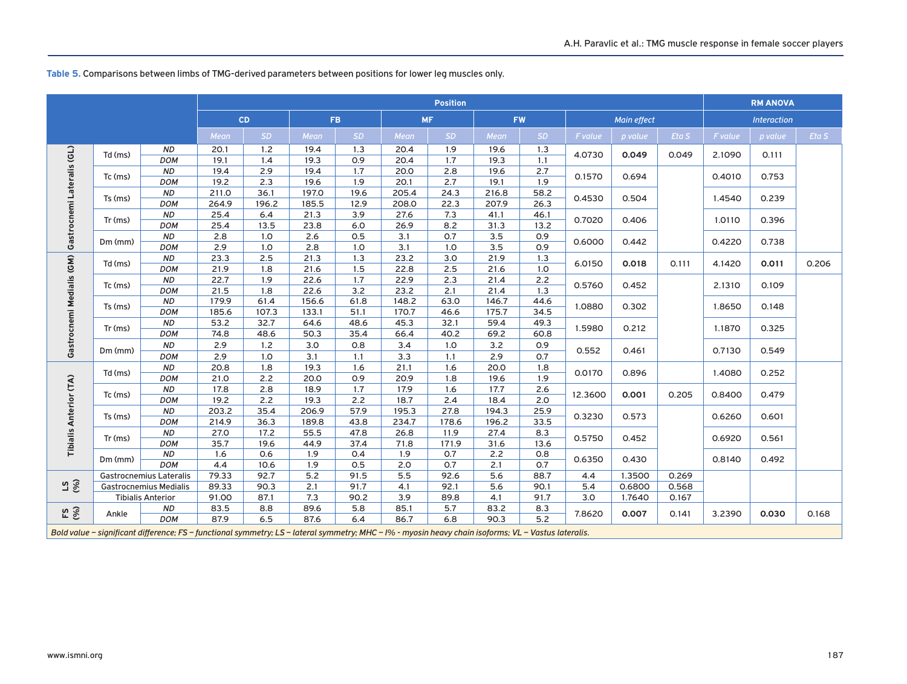|                               |                          |                                                                                                                                                      | <b>Position</b> |       |       |      |           |           |           |      |                |                |        |         |                    |       |
|-------------------------------|--------------------------|------------------------------------------------------------------------------------------------------------------------------------------------------|-----------------|-------|-------|------|-----------|-----------|-----------|------|----------------|----------------|--------|---------|--------------------|-------|
|                               |                          |                                                                                                                                                      |                 | CD    | FB.   |      | <b>MF</b> |           | <b>FW</b> |      |                | Main effect    |        |         | <b>Interaction</b> |       |
|                               |                          |                                                                                                                                                      | Mean            | SD    | Mean  | SD.  | Mean      | <b>SD</b> | Mean      | SD   | <b>F</b> value | p value        | Eta S  | F value | p value            | Eta S |
|                               | Td (ms)                  | <b>ND</b>                                                                                                                                            | 20.1            | 1.2   | 19.4  | 1.3  | 20.4      | 1.9       | 19.6      | 1.3  | 4.0730         | 0.049          | 0.049  | 2.1090  | 0.111              |       |
| Gastrocnemi Lateralis (GL)    |                          | <b>DOM</b>                                                                                                                                           | 19.1            | 1.4   | 19.3  | 0.9  | 20.4      | 1.7       | 19.3      | 1.1  |                |                |        |         |                    |       |
|                               | $Tc$ (ms)                | <b>ND</b>                                                                                                                                            | 19.4            | 2.9   | 19.4  | 1.7  | 20.0      | 2.8       | 19.6      | 2.7  | 0.1570         | 0.694          |        | 0.4010  | 0.753              |       |
|                               |                          | <b>DOM</b>                                                                                                                                           | 19.2            | 2.3   | 19.6  | 1.9  | 20.1      | 2.7       | 19.1      | 1.9  |                |                |        |         |                    |       |
|                               | $Ts$ (ms)                | ND                                                                                                                                                   | 211.0           | 36.1  | 197.0 | 19.6 | 205.4     | 24.3      | 216.8     | 58.2 | 0.4530         | 0.504          |        |         | 0.239              |       |
|                               |                          | <b>DOM</b>                                                                                                                                           | 264.9           | 196.2 | 185.5 | 12.9 | 208.0     | 22.3      | 207.9     | 26.3 |                |                |        | 1.4540  |                    |       |
|                               | Tr(ms)                   | ND                                                                                                                                                   | 25.4            | 6.4   | 21.3  | 3.9  | 27.6      | 7.3       | 41.1      | 46.1 | 0.7020         | 0.406          |        | 1.0110  | 0.396              |       |
|                               |                          | <b>DOM</b>                                                                                                                                           | 25.4            | 13.5  | 23.8  | 6.0  | 26.9      | 8.2       | 31.3      | 13.2 |                |                |        |         |                    |       |
|                               | $Dm$ ( $mm$ )            | <b>ND</b>                                                                                                                                            | 2.8             | 1.0   | 2.6   | 0.5  | 3.1       | 0.7       | 3.5       | 0.9  | 0.6000         | 0.442          |        | 0.4220  | 0.738              |       |
|                               |                          | <b>DOM</b>                                                                                                                                           | 2.9             | 1.0   | 2.8   | 1.0  | 3.1       | 1.0       | 3.5       | 0.9  |                |                |        |         |                    |       |
|                               | Td(ms)                   | <b>ND</b>                                                                                                                                            | 23.3            | 2.5   | 21.3  | 1.3  | 23.2      | 3.0       | 21.9      | 1.3  | 6.0150         | 0.018          | 0.111  | 4.1420  | 0.011              | 0.206 |
|                               |                          | <b>DOM</b>                                                                                                                                           | 21.9            | 1.8   | 21.6  | 1.5  | 22.8      | 2.5       | 21.6      | 1.0  |                |                |        |         |                    |       |
|                               | $Tc$ (ms)                | <b>ND</b>                                                                                                                                            | 22.7            | 1.9   | 22.6  | 1.7  | 22.9      | 2.3       | 21.4      | 2.2  | 0.5760         | 0.452          |        | 2.1310  | 0.109              |       |
| Gastrocnemi Medialis (GM)     |                          | <b>DOM</b>                                                                                                                                           | 21.5            | 1.8   | 22.6  | 3.2  | 23.2      | 2.1       | 21.4      | 1.3  |                |                |        |         |                    |       |
|                               | Ts (ms)                  | <b>ND</b>                                                                                                                                            | 179.9           | 61.4  | 156.6 | 61.8 | 148.2     | 63.0      | 146.7     | 44.6 | 1.0880         | 0.302          |        | 1.8650  | 0.148              |       |
|                               |                          | <b>DOM</b>                                                                                                                                           | 185.6           | 107.3 | 133.1 | 51.1 | 170.7     | 46.6      | 175.7     | 34.5 |                |                |        |         |                    |       |
|                               | Tr(ms)                   | <b>ND</b>                                                                                                                                            | 53.2            | 32.7  | 64.6  | 48.6 | 45.3      | 32.1      | 59.4      | 49.3 | 1.5980         | 0.212          |        | 1.1870  | 0.325              |       |
|                               |                          | <b>DOM</b>                                                                                                                                           | 74.8            | 48.6  | 50.3  | 35.4 | 66.4      | 40.2      | 69.2      | 60.8 |                |                |        |         |                    |       |
|                               | Dm (mm)                  | <b>ND</b>                                                                                                                                            | 2.9             | 1.2   | 3.0   | 0.8  | 3.4       | 1.0       | 3.2       | 0.9  | 0.552          | 0.461          |        | 0.7130  | 0.549              |       |
|                               |                          | <b>DOM</b>                                                                                                                                           | 2.9             | 1.0   | 3.1   | 1.1  | 3.3       | 1.1       | 2.9       | 0.7  |                |                |        |         |                    |       |
|                               | Td (ms)                  | <b>ND</b>                                                                                                                                            | 20.8            | 1.8   | 19.3  | 1.6  | 21.1      | 1.6       | 20.0      | 1.8  | 0.0170         | 0.896          |        | 1.4080  | 0.252              |       |
|                               |                          | <b>DOM</b>                                                                                                                                           | 21.0            | 2.2   | 20.0  | 0.9  | 20.9      | 1.8       | 19.6      | 1.9  |                |                |        |         |                    |       |
|                               | Tc (ms)                  | <b>ND</b>                                                                                                                                            | 17.8            | 2.8   | 18.9  | 1.7  | 17.9      | 1.6       | 17.7      | 2.6  | 12.3600        | 0.001          | 0.205  | 0.8400  | 0.479              |       |
|                               |                          | <b>DOM</b>                                                                                                                                           | 19.2            | 2.2   | 19.3  | 2.2  | 18.7      | 2.4       | 18.4      | 2.0  |                |                |        |         |                    |       |
|                               | Ts (ms)                  | <b>ND</b>                                                                                                                                            | 203.2           | 35.4  | 206.9 | 57.9 | 195.3     | 27.8      | 194.3     | 25.9 | 0.3230         | 0.573          |        | 0.6260  | 0.601              |       |
| <b>Tibialis Anterior (TA)</b> |                          | <b>DOM</b>                                                                                                                                           | 214.9           | 36.3  | 189.8 | 43.8 | 234.7     | 178.6     | 196.2     | 33.5 |                |                |        |         |                    |       |
|                               | Tr(ms)                   | <b>ND</b>                                                                                                                                            | 27.0            | 17.2  | 55.5  | 47.8 | 26.8      | 11.9      | 27.4      | 8.3  | 0.5750         | 0.452          |        | 0.6920  | 0.561              |       |
|                               |                          | <b>DOM</b>                                                                                                                                           | 35.7            | 19.6  | 44.9  | 37.4 | 71.8      | 171.9     | 31.6      | 13.6 |                |                |        |         |                    |       |
|                               | $Dm$ ( $mm$ )            | <b>ND</b>                                                                                                                                            | 1.6             | 0.6   | 1.9   | 0.4  | 1.9       | 0.7       | 2.2       | 0.8  | 0.6350         | 0.430          |        | 0.8140  | 0.492              |       |
|                               |                          | <b>DOM</b>                                                                                                                                           | 4.4             | 10.6  | 1.9   | 0.5  | 2.0       | 0.7       | 2.1       | 0.7  |                |                |        |         |                    |       |
|                               |                          | <b>Gastrocnemius Lateralis</b>                                                                                                                       | 79.33           | 92.7  | 5.2   | 91.5 | 5.5       | 92.6      | 5.6       | 88.7 | 4.4            | 1.3500         | 0.269  |         |                    |       |
| $\frac{1}{5}$                 |                          | <b>Gastrocnemius Medialis</b>                                                                                                                        | 89.33           | 90.3  | 2.1   | 91.7 | 4.1       | 92.1      | 5.6       | 90.1 | 5.4            | 0.6800         | 0.568  |         |                    |       |
|                               | <b>Tibialis Anterior</b> |                                                                                                                                                      | 91.00           | 87.1  | 7.3   | 90.2 | 3.9       | 89.8      | 4.1       | 91.7 | 3.0            | 1.7640         | 0.167  |         |                    |       |
| FS<br>(%)                     | Ankle                    | <b>ND</b>                                                                                                                                            | 83.5            | 8.8   | 89.6  | 5.8  | 85.1      | 5.7       | 83.2      | 8.3  | 7.8620         | 0.007<br>0.141 | 3.2390 | 0.030   | 0.168              |       |
|                               |                          | <b>DOM</b>                                                                                                                                           | 87.9            | 6.5   | 87.6  | 6.4  | 86.7      | 6.8       | 90.3      | 5.2  |                |                |        |         |                    |       |
|                               |                          | Bold value - significant difference; FS - functional symmetry; LS - lateral symmetry; MHC - I% - myosin heavy chain isoforms; VL - Vastus lateralis. |                 |       |       |      |           |           |           |      |                |                |        |         |                    |       |

**Table 5.** Comparisons between limbs of TMG-derived parameters between positions for lower leg muscles only.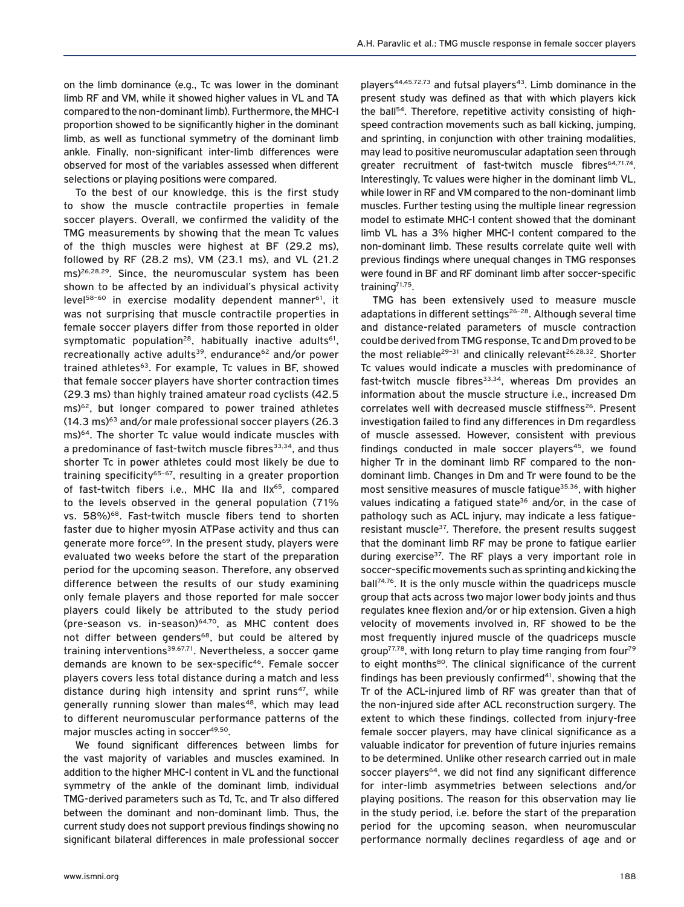on the limb dominance (e.g., Tc was lower in the dominant limb RF and VM, while it showed higher values in VL and TA compared to the non-dominant limb). Furthermore, the MHC-I proportion showed to be significantly higher in the dominant limb, as well as functional symmetry of the dominant limb ankle. Finally, non-significant inter-limb differences were observed for most of the variables assessed when different selections or playing positions were compared.

To the best of our knowledge, this is the first study to show the muscle contractile properties in female soccer players. Overall, we confirmed the validity of the TMG measurements by showing that the mean Tc values of the thigh muscles were highest at BF (29.2 ms), followed by RF (28.2 ms), VM (23.1 ms), and VL (21.2 ms)<sup>26,28,29</sup>. Since, the neuromuscular system has been shown to be affected by an individual's physical activity level<sup>58-60</sup> in exercise modality dependent manner<sup>61</sup>, it was not surprising that muscle contractile properties in female soccer players differ from those reported in older symptomatic population<sup>28</sup>, habitually inactive adults<sup>61</sup>, recreationally active adults<sup>39</sup>, endurance<sup>62</sup> and/or power trained athletes<sup>63</sup>. For example, Tc values in BF, showed that female soccer players have shorter contraction times (29.3 ms) than highly trained amateur road cyclists (42.5 ms)<sup>62</sup>, but longer compared to power trained athletes (14.3 ms)<sup>63</sup> and/or male professional soccer players (26.3 ms)64. The shorter Tc value would indicate muscles with a predominance of fast-twitch muscle fibres<sup>33,34</sup>, and thus shorter Tc in power athletes could most likely be due to training specificity<sup>65-67</sup>, resulting in a greater proportion of fast-twitch fibers i.e., MHC IIa and IIx<sup>65</sup>, compared to the levels observed in the general population (71% vs. 58%)<sup>68</sup>. Fast-twitch muscle fibers tend to shorten faster due to higher myosin ATPase activity and thus can generate more force<sup>69</sup>. In the present study, players were evaluated two weeks before the start of the preparation period for the upcoming season. Therefore, any observed difference between the results of our study examining only female players and those reported for male soccer players could likely be attributed to the study period (pre-season vs. in-season)<sup>64,70</sup>, as MHC content does not differ between genders<sup>68</sup>, but could be altered by training interventions<sup>39,67,71</sup>. Nevertheless, a soccer game demands are known to be sex-specific<sup>46</sup>. Female soccer players covers less total distance during a match and less distance during high intensity and sprint runs<sup>47</sup>, while generally running slower than males<sup>48</sup>, which may lead to different neuromuscular performance patterns of the major muscles acting in soccer<sup>49,50</sup>.

We found significant differences between limbs for the vast majority of variables and muscles examined. In addition to the higher MHC-I content in VL and the functional symmetry of the ankle of the dominant limb, individual TMG-derived parameters such as Td, Tc, and Tr also differed between the dominant and non-dominant limb. Thus, the current study does not support previous findings showing no significant bilateral differences in male professional soccer players<sup>44,45,72,73</sup> and futsal players<sup>43</sup>. Limb dominance in the present study was defined as that with which players kick the ball<sup>54</sup>. Therefore, repetitive activity consisting of highspeed contraction movements such as ball kicking, jumping, and sprinting, in conjunction with other training modalities, may lead to positive neuromuscular adaptation seen through greater recruitment of fast-twitch muscle fibres<sup>64,71,74</sup>. Interestingly, Tc values were higher in the dominant limb VL, while lower in RF and VM compared to the non-dominant limb muscles. Further testing using the multiple linear regression model to estimate MHC-I content showed that the dominant limb VL has a 3% higher MHC-I content compared to the non-dominant limb. These results correlate quite well with previous findings where unequal changes in TMG responses were found in BF and RF dominant limb after soccer-specific training71,75.

TMG has been extensively used to measure muscle adaptations in different settings<sup>26-28</sup>. Although several time and distance-related parameters of muscle contraction could be derived from TMG response, Tc and Dm proved to be the most reliable<sup>29-31</sup> and clinically relevant<sup>26,28,32</sup>. Shorter Tc values would indicate a muscles with predominance of fast-twitch muscle fibres $33,34$ , whereas Dm provides an information about the muscle structure i.e., increased Dm correlates well with decreased muscle stiffness<sup>26</sup>. Present investigation failed to find any differences in Dm regardless of muscle assessed. However, consistent with previous findings conducted in male soccer players $45$ , we found higher Tr in the dominant limb RF compared to the nondominant limb. Changes in Dm and Tr were found to be the most sensitive measures of muscle fatigue<sup>35,36</sup>, with higher values indicating a fatigued state<sup>36</sup> and/or, in the case of pathology such as ACL injury, may indicate a less fatigueresistant muscle<sup>37</sup>. Therefore, the present results suggest that the dominant limb RF may be prone to fatigue earlier during exercise<sup>37</sup>. The RF plays a very important role in soccer-specific movements such as sprinting and kicking the ball74,76. It is the only muscle within the quadriceps muscle group that acts across two major lower body joints and thus regulates knee flexion and/or or hip extension. Given a high velocity of movements involved in, RF showed to be the most frequently injured muscle of the quadriceps muscle group<sup>77,78</sup>, with long return to play time ranging from four<sup>79</sup> to eight months<sup>80</sup>. The clinical significance of the current findings has been previously confirmed $41$ , showing that the Tr of the ACL-injured limb of RF was greater than that of the non-injured side after ACL reconstruction surgery. The extent to which these findings, collected from injury-free female soccer players, may have clinical significance as a valuable indicator for prevention of future injuries remains to be determined. Unlike other research carried out in male soccer players<sup>64</sup>, we did not find any significant difference for inter-limb asymmetries between selections and/or playing positions. The reason for this observation may lie in the study period, i.e. before the start of the preparation period for the upcoming season, when neuromuscular performance normally declines regardless of age and or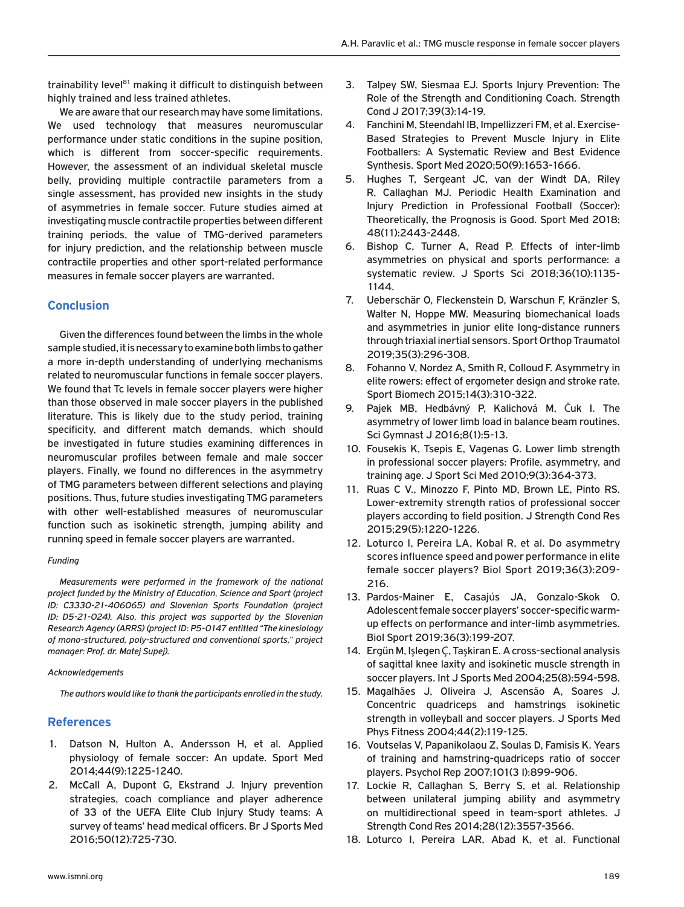trainability level<sup>81</sup> making it difficult to distinguish between highly trained and less trained athletes.

We are aware that our research may have some limitations. We used technology that measures neuromuscular performance under static conditions in the supine position, which is different from soccer-specific requirements. However, the assessment of an individual skeletal muscle belly, providing multiple contractile parameters from a single assessment, has provided new insights in the study of asymmetries in female soccer. Future studies aimed at investigating muscle contractile properties between different training periods, the value of TMG-derived parameters for injury prediction, and the relationship between muscle contractile properties and other sport-related performance measures in female soccer players are warranted.

# **Conclusion**

Given the differences found between the limbs in the whole sample studied, it is necessary to examine both limbs to gather a more in-depth understanding of underlying mechanisms related to neuromuscular functions in female soccer players. We found that Tc levels in female soccer players were higher than those observed in male soccer players in the published literature. This is likely due to the study period, training specificity, and different match demands, which should be investigated in future studies examining differences in neuromuscular profiles between female and male soccer players. Finally, we found no differences in the asymmetry of TMG parameters between different selections and playing positions. Thus, future studies investigating TMG parameters with other well-established measures of neuromuscular function such as isokinetic strength, jumping ability and running speed in female soccer players are warranted.

#### *Funding*

*Measurements were performed in the framework of the national project funded by the Ministry of Education, Science and Sport (project ID: C3330-21-406065) and Slovenian Sports Foundation (project ID: D5-21-024). Also, this project was supported by the Slovenian Research Agency (ARRS) (project ID: P5-0147 entitled "The kinesiology of mono-structured, poly-structured and conventional sports," project manager: Prof. dr. Matej Supej).*

#### *Acknowledgements*

*The authors would like to thank the participants enrolled in the study.*

## **References**

- 1. Datson N, Hulton A, Andersson H, et al. Applied physiology of female soccer: An update. Sport Med 2014;44(9):1225-1240.
- 2. McCall A, Dupont G, Ekstrand J. Injury prevention strategies, coach compliance and player adherence of 33 of the UEFA Elite Club Injury Study teams: A survey of teams' head medical officers. Br J Sports Med 2016;50(12):725-730.
- 3. Talpey SW, Siesmaa EJ. Sports Injury Prevention: The Role of the Strength and Conditioning Coach. Strength Cond J 2017;39(3):14-19.
- 4. Fanchini M, Steendahl IB, Impellizzeri FM, et al. Exercise-Based Strategies to Prevent Muscle Injury in Elite Footballers: A Systematic Review and Best Evidence Synthesis. Sport Med 2020;50(9):1653-1666.
- 5. Hughes T, Sergeant JC, van der Windt DA, Riley R, Callaghan MJ. Periodic Health Examination and Injury Prediction in Professional Football (Soccer): Theoretically, the Prognosis is Good. Sport Med 2018; 48(11):2443-2448.
- 6. Bishop C, Turner A, Read P. Effects of inter-limb asymmetries on physical and sports performance: a systematic review. J Sports Sci 2018;36(10):1135- 1144.
- 7. Ueberschär O, Fleckenstein D, Warschun F, Kränzler S, Walter N, Hoppe MW. Measuring biomechanical loads and asymmetries in junior elite long-distance runners through triaxial inertial sensors. Sport Orthop Traumatol 2019;35(3):296-308.
- 8. Fohanno V, Nordez A, Smith R, Colloud F. Asymmetry in elite rowers: effect of ergometer design and stroke rate. Sport Biomech 2015;14(3):310-322.
- 9. Pajek MB, Hedbávný P, Kalichová M, Čuk I. The asymmetry of lower limb load in balance beam routines. Sci Gymnast J 2016;8(1):5-13.
- 10. Fousekis K, Tsepis E, Vagenas G. Lower limb strength in professional soccer players: Profile, asymmetry, and training age. J Sport Sci Med 2010;9(3):364-373.
- 11. Ruas C V., Minozzo F, Pinto MD, Brown LE, Pinto RS. Lower-extremity strength ratios of professional soccer players according to field position. J Strength Cond Res 2015;29(5):1220-1226.
- 12. Loturco I, Pereira LA, Kobal R, et al. Do asymmetry scores influence speed and power performance in elite female soccer players? Biol Sport 2019;36(3):209- 216.
- 13. Pardos-Mainer E, Casajús JA, Gonzalo-Skok O. Adolescent female soccer players' soccer-specific warmup effects on performance and inter-limb asymmetries. Biol Sport 2019;36(3):199-207.
- 14. Ergün M, Işlegen Ç, Taşkiran E. A cross-sectional analysis of sagittal knee laxity and isokinetic muscle strength in soccer players. Int J Sports Med 2004;25(8):594-598.
- 15. Magalhães J, Oliveira J, Ascensão A, Soares J. Concentric quadriceps and hamstrings isokinetic strength in volleyball and soccer players. J Sports Med Phys Fitness 2004;44(2):119-125.
- 16. Voutselas V, Papanikolaou Z, Soulas D, Famisis K. Years of training and hamstring-quadriceps ratio of soccer players. Psychol Rep 2007;101(3 I):899-906.
- 17. Lockie R, Callaghan S, Berry S, et al. Relationship between unilateral jumping ability and asymmetry on multidirectional speed in team-sport athletes. J Strength Cond Res 2014;28(12):3557-3566.
- 18. Loturco I, Pereira LAR, Abad K, et al. Functional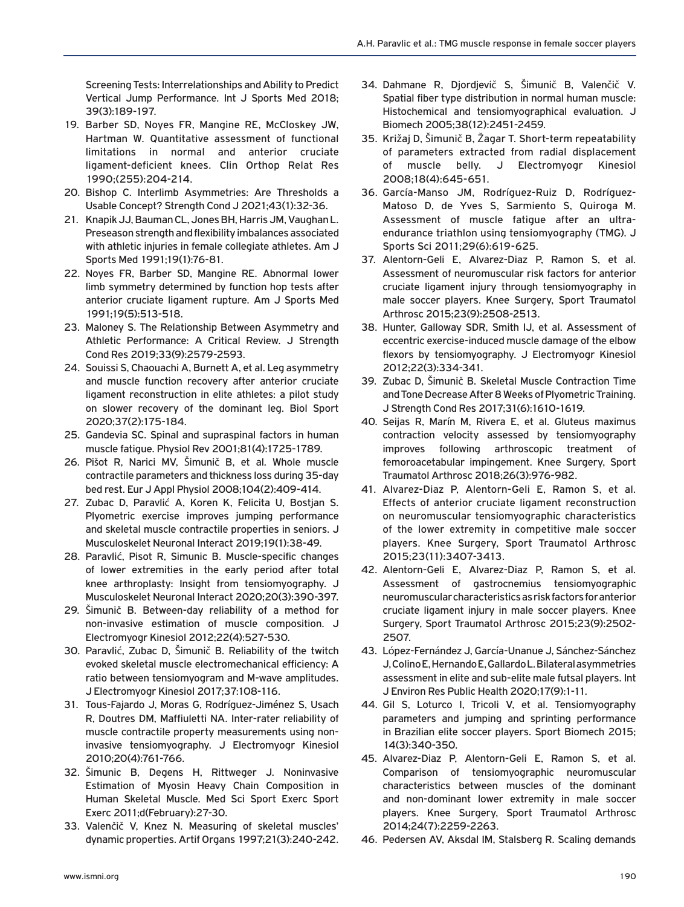Screening Tests: Interrelationships and Ability to Predict Vertical Jump Performance. Int J Sports Med 2018; 39(3):189-197.

- 19. Barber SD, Noyes FR, Mangine RE, McCloskey JW, Hartman W. Quantitative assessment of functional limitations in normal and anterior cruciate ligament-deficient knees. Clin Orthop Relat Res 1990;(255):204-214.
- 20. Bishop C. Interlimb Asymmetries: Are Thresholds a Usable Concept? Strength Cond J 2021;43(1):32-36.
- 21. Knapik JJ, Bauman CL, Jones BH, Harris JM, Vaughan L. Preseason strength and flexibility imbalances associated with athletic injuries in female collegiate athletes. Am J Sports Med 1991;19(1):76-81.
- 22. Noyes FR, Barber SD, Mangine RE. Abnormal lower limb symmetry determined by function hop tests after anterior cruciate ligament rupture. Am J Sports Med 1991;19(5):513-518.
- 23. Maloney S. The Relationship Between Asymmetry and Athletic Performance: A Critical Review. J Strength Cond Res 2019;33(9):2579-2593.
- 24. Souissi S, Chaouachi A, Burnett A, et al. Leg asymmetry and muscle function recovery after anterior cruciate ligament reconstruction in elite athletes: a pilot study on slower recovery of the dominant leg. Biol Sport 2020;37(2):175-184.
- 25. Gandevia SC. Spinal and supraspinal factors in human muscle fatigue. Physiol Rev 2001;81(4):1725-1789.
- 26. Pišot R, Narici MV, Šimunič B, et al. Whole muscle contractile parameters and thickness loss during 35-day bed rest. Eur J Appl Physiol 2008;104(2):409-414.
- 27. Zubac D, Paravlić A, Koren K, Felicita U, Bostjan S. Plyometric exercise improves jumping performance and skeletal muscle contractile properties in seniors. J Musculoskelet Neuronal Interact 2019;19(1):38-49.
- 28. Paravlić, Pisot R, Simunic B. Muscle-specific changes of lower extremities in the early period after total knee arthroplasty: Insight from tensiomyography. J Musculoskelet Neuronal Interact 2020;20(3):390-397.
- 29. Šimunič B. Between-day reliability of a method for non-invasive estimation of muscle composition. J Electromyogr Kinesiol 2012;22(4):527-530.
- 30. Paravlić, Zubac D, Šimunič B. Reliability of the twitch evoked skeletal muscle electromechanical efficiency: A ratio between tensiomyogram and M-wave amplitudes. J Electromyogr Kinesiol 2017;37:108-116.
- 31. Tous-Fajardo J, Moras G, Rodríguez-Jiménez S, Usach R, Doutres DM, Maffiuletti NA. Inter-rater reliability of muscle contractile property measurements using noninvasive tensiomyography. J Electromyogr Kinesiol 2010;20(4):761-766.
- 32. Šimunic B, Degens H, Rittweger J. Noninvasive Estimation of Myosin Heavy Chain Composition in Human Skeletal Muscle. Med Sci Sport Exerc Sport Exerc 2011;d(February):27-30.
- 33. Valenčič V, Knez N. Measuring of skeletal muscles' dynamic properties. Artif Organs 1997;21(3):240-242.
- 34. Dahmane R, Djordjevič S, Šimunič B, Valenčič V. Spatial fiber type distribution in normal human muscle: Histochemical and tensiomyographical evaluation. J Biomech 2005;38(12):2451-2459.
- 35. Križaj D, Šimunič B, Žagar T. Short-term repeatability of parameters extracted from radial displacement of muscle belly. J Electromyogr Kinesiol 2008;18(4):645-651.
- 36. García-Manso JM, Rodríguez-Ruiz D, Rodríguez-Matoso D, de Yves S, Sarmiento S, Quiroga M. Assessment of muscle fatigue after an ultraendurance triathlon using tensiomyography (TMG). J Sports Sci 2011;29(6):619-625.
- 37. Alentorn-Geli E, Alvarez-Diaz P, Ramon S, et al. Assessment of neuromuscular risk factors for anterior cruciate ligament injury through tensiomyography in male soccer players. Knee Surgery, Sport Traumatol Arthrosc 2015;23(9):2508-2513.
- 38. Hunter, Galloway SDR, Smith IJ, et al. Assessment of eccentric exercise-induced muscle damage of the elbow flexors by tensiomyography. J Electromyogr Kinesiol 2012;22(3):334-341.
- 39. Zubac D, Šimunič B. Skeletal Muscle Contraction Time and Tone Decrease After 8 Weeks of Plyometric Training. J Strength Cond Res 2017;31(6):1610-1619.
- 40. Seijas R, Marín M, Rivera E, et al. Gluteus maximus contraction velocity assessed by tensiomyography improves following arthroscopic treatment of femoroacetabular impingement. Knee Surgery, Sport Traumatol Arthrosc 2018;26(3):976-982.
- 41. Alvarez-Diaz P, Alentorn-Geli E, Ramon S, et al. Effects of anterior cruciate ligament reconstruction on neuromuscular tensiomyographic characteristics of the lower extremity in competitive male soccer players. Knee Surgery, Sport Traumatol Arthrosc 2015;23(11):3407-3413.
- 42. Alentorn-Geli E, Alvarez-Diaz P, Ramon S, et al. Assessment of gastrocnemius tensiomyographic neuromuscular characteristics as risk factors for anterior cruciate ligament injury in male soccer players. Knee Surgery, Sport Traumatol Arthrosc 2015;23(9):2502- 2507.
- 43. López-Fernández J, García-Unanue J, Sánchez-Sánchez J, Colino E, Hernando E, Gallardo L. Bilateral asymmetries assessment in elite and sub-elite male futsal players. Int J Environ Res Public Health 2020;17(9):1-11.
- 44. Gil S, Loturco I, Tricoli V, et al. Tensiomyography parameters and jumping and sprinting performance in Brazilian elite soccer players. Sport Biomech 2015; 14(3):340-350.
- 45. Alvarez-Diaz P, Alentorn-Geli E, Ramon S, et al. Comparison of tensiomyographic neuromuscular characteristics between muscles of the dominant and non-dominant lower extremity in male soccer players. Knee Surgery, Sport Traumatol Arthrosc 2014;24(7):2259-2263.
- 46. Pedersen AV, Aksdal IM, Stalsberg R. Scaling demands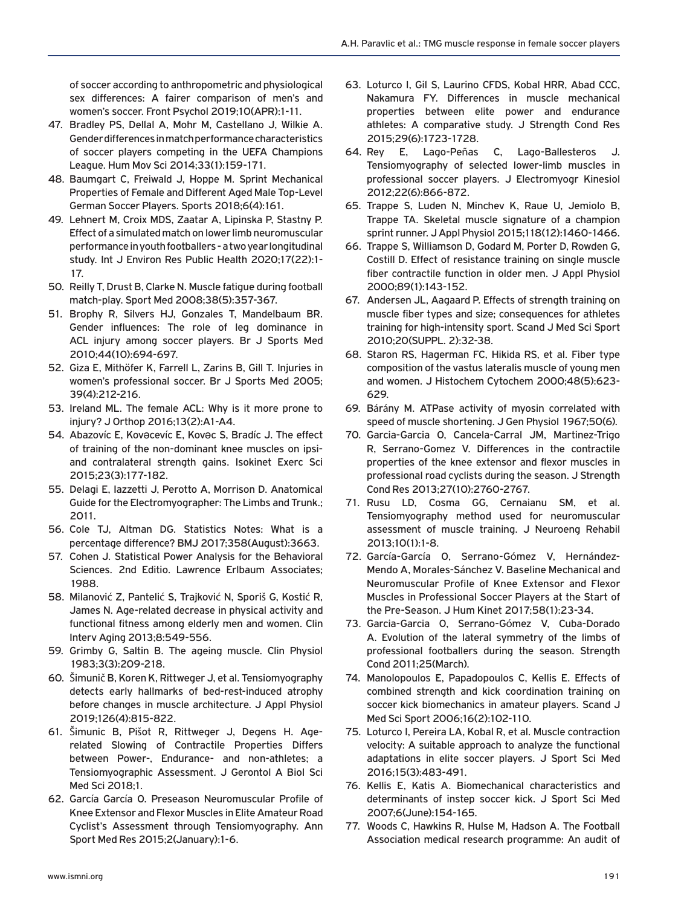of soccer according to anthropometric and physiological sex differences: A fairer comparison of men's and women's soccer. Front Psychol 2019;10(APR):1-11.

- 47. Bradley PS, Dellal A, Mohr M, Castellano J, Wilkie A. Gender differences in match performance characteristics of soccer players competing in the UEFA Champions League. Hum Mov Sci 2014;33(1):159-171.
- 48. Baumgart C, Freiwald J, Hoppe M. Sprint Mechanical Properties of Female and Different Aged Male Top-Level German Soccer Players. Sports 2018;6(4):161.
- 49. Lehnert M, Croix MDS, Zaatar A, Lipinska P, Stastny P. Effect of a simulated match on lower limb neuromuscular performance in youth footballers - a two year longitudinal study. Int J Environ Res Public Health 2020;17(22):1- 17.
- 50. Reilly T, Drust B, Clarke N. Muscle fatigue during football match-play. Sport Med 2008;38(5):357-367.
- 51. Brophy R, Silvers HJ, Gonzales T, Mandelbaum BR. Gender influences: The role of leg dominance in ACL injury among soccer players. Br J Sports Med 2010;44(10):694-697.
- 52. Giza E, Mithöfer K, Farrell L, Zarins B, Gill T. Injuries in women's professional soccer. Br J Sports Med 2005; 39(4):212-216.
- 53. Ireland ML. The female ACL: Why is it more prone to injury? J Orthop 2016;13(2):A1-A4.
- 54. Abazovíc E, Kovəcevíc E, Kovəc S, Bradíc J. The effect of training of the non-dominant knee muscles on ipsiand contralateral strength gains. Isokinet Exerc Sci 2015;23(3):177-182.
- 55. Delagi E, Iazzetti J, Perotto A, Morrison D. Anatomical Guide for the Electromyographer: The Limbs and Trunk.; 2011.
- 56. Cole TJ, Altman DG. Statistics Notes: What is a percentage difference? BMJ 2017;358(August):3663.
- 57. Cohen J. Statistical Power Analysis for the Behavioral Sciences. 2nd Editio. Lawrence Erlbaum Associates; 1988.
- 58. Milanović Z, Pantelić S, Trajković N, Sporiš G, Kostić R, James N. Age-related decrease in physical activity and functional fitness among elderly men and women. Clin Interv Aging 2013;8:549-556.
- 59. Grimby G, Saltin B. The ageing muscle. Clin Physiol 1983;3(3):209-218.
- 60. Šimunič B, Koren K, Rittweger J, et al. Tensiomyography detects early hallmarks of bed-rest-induced atrophy before changes in muscle architecture. J Appl Physiol 2019;126(4):815-822.
- 61. Šimunic B, Pišot R, Rittweger J, Degens H. Agerelated Slowing of Contractile Properties Differs between Power-, Endurance- and non-athletes; a Tensiomyographic Assessment. J Gerontol A Biol Sci Med Sci 2018;1.
- 62. García García O. Preseason Neuromuscular Profile of Knee Extensor and Flexor Muscles in Elite Amateur Road Cyclist's Assessment through Tensiomyography. Ann Sport Med Res 2015;2(January):1-6.
- 63. Loturco I, Gil S, Laurino CFDS, Kobal HRR, Abad CCC, Nakamura FY. Differences in muscle mechanical properties between elite power and endurance athletes: A comparative study. J Strength Cond Res 2015;29(6):1723-1728.
- 64. Rey E, Lago-Peñas C, Lago-Ballesteros J. Tensiomyography of selected lower-limb muscles in professional soccer players. J Electromyogr Kinesiol 2012;22(6):866-872.
- 65. Trappe S, Luden N, Minchev K, Raue U, Jemiolo B, Trappe TA. Skeletal muscle signature of a champion sprint runner. J Appl Physiol 2015;118(12):1460-1466.
- 66. Trappe S, Williamson D, Godard M, Porter D, Rowden G, Costill D. Effect of resistance training on single muscle fiber contractile function in older men. J Appl Physiol 2000;89(1):143-152.
- 67. Andersen JL, Aagaard P. Effects of strength training on muscle fiber types and size; consequences for athletes training for high-intensity sport. Scand J Med Sci Sport 2010;20(SUPPL. 2):32-38.
- 68. Staron RS, Hagerman FC, Hikida RS, et al. Fiber type composition of the vastus lateralis muscle of young men and women. J Histochem Cytochem 2000;48(5):623- 629.
- 69. Bárány M. ATPase activity of myosin correlated with speed of muscle shortening. J Gen Physiol 1967;50(6).
- 70. Garcia-Garcia O, Cancela-Carral JM, Martinez-Trigo R, Serrano-Gomez V. Differences in the contractile properties of the knee extensor and flexor muscles in professional road cyclists during the season. J Strength Cond Res 2013;27(10):2760-2767.
- 71. Rusu LD, Cosma GG, Cernaianu SM, et al. Tensiomyography method used for neuromuscular assessment of muscle training. J Neuroeng Rehabil 2013;10(1):1-8.
- 72. García-García O, Serrano-Gómez V, Hernández-Mendo A, Morales-Sánchez V. Baseline Mechanical and Neuromuscular Profile of Knee Extensor and Flexor Muscles in Professional Soccer Players at the Start of the Pre-Season. J Hum Kinet 2017;58(1):23-34.
- 73. Garcia-Garcia O, Serrano-Gómez V, Cuba-Dorado A. Evolution of the lateral symmetry of the limbs of professional footballers during the season. Strength Cond 2011;25(March).
- 74. Manolopoulos E, Papadopoulos C, Kellis E. Effects of combined strength and kick coordination training on soccer kick biomechanics in amateur players. Scand J Med Sci Sport 2006;16(2):102-110.
- 75. Loturco I, Pereira LA, Kobal R, et al. Muscle contraction velocity: A suitable approach to analyze the functional adaptations in elite soccer players. J Sport Sci Med 2016;15(3):483-491.
- 76. Kellis E, Katis A. Biomechanical characteristics and determinants of instep soccer kick. J Sport Sci Med 2007;6(June):154-165.
- 77. Woods C, Hawkins R, Hulse M, Hadson A. The Football Association medical research programme: An audit of